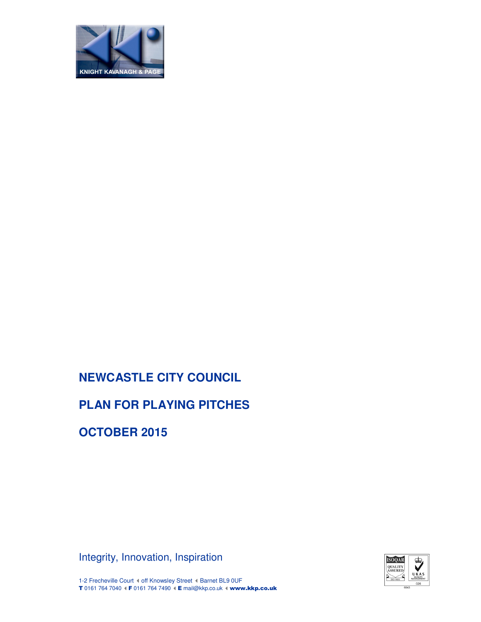

# **PLAN FOR PLAYING PITCHES**

**OCTOBER 2015**

Integrity, Innovation, Inspiration



1-2 Frecheville Court ( off Knowsley Street ( Barnet BL9 0UF T 0161 764 7040 I F 0161 764 7490 I E mail@kkp.co.uk I www.kkp.co.uk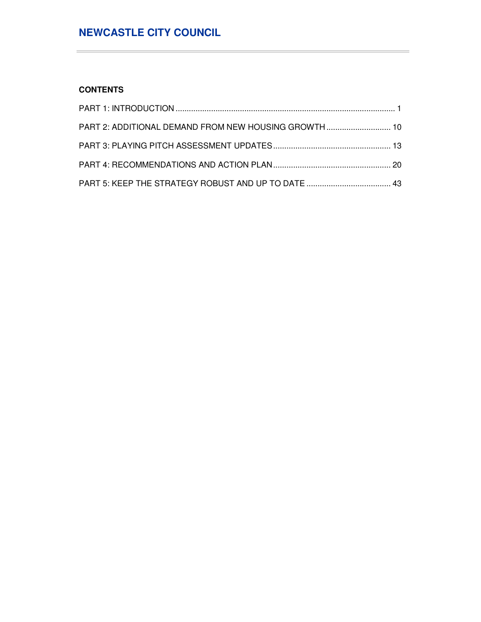## **CONTENTS**

 $\equiv$ 

| PART 2: ADDITIONAL DEMAND FROM NEW HOUSING GROWTH 10 |  |
|------------------------------------------------------|--|
|                                                      |  |
|                                                      |  |
|                                                      |  |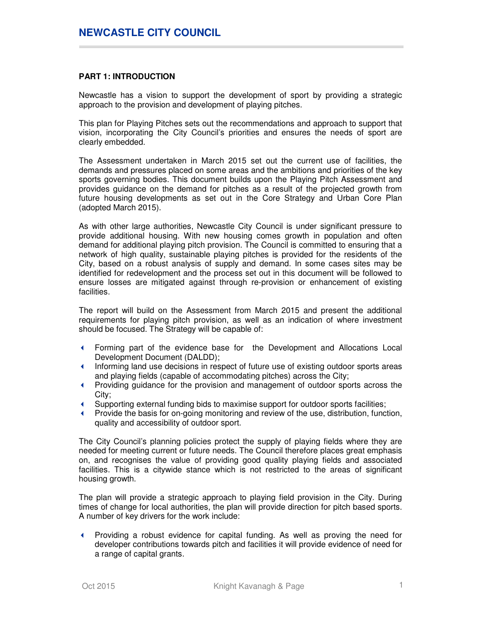### **PART 1: INTRODUCTION**

Newcastle has a vision to support the development of sport by providing a strategic approach to the provision and development of playing pitches.

This plan for Playing Pitches sets out the recommendations and approach to support that vision, incorporating the City Council's priorities and ensures the needs of sport are clearly embedded.

The Assessment undertaken in March 2015 set out the current use of facilities, the demands and pressures placed on some areas and the ambitions and priorities of the key sports governing bodies. This document builds upon the Playing Pitch Assessment and provides guidance on the demand for pitches as a result of the projected growth from future housing developments as set out in the Core Strategy and Urban Core Plan (adopted March 2015).

As with other large authorities, Newcastle City Council is under significant pressure to provide additional housing. With new housing comes growth in population and often demand for additional playing pitch provision. The Council is committed to ensuring that a network of high quality, sustainable playing pitches is provided for the residents of the City, based on a robust analysis of supply and demand. In some cases sites may be identified for redevelopment and the process set out in this document will be followed to ensure losses are mitigated against through re-provision or enhancement of existing facilities.

The report will build on the Assessment from March 2015 and present the additional requirements for playing pitch provision, as well as an indication of where investment should be focused. The Strategy will be capable of:

- Forming part of the evidence base for the Development and Allocations Local Development Document (DALDD);
- Informing land use decisions in respect of future use of existing outdoor sports areas and playing fields (capable of accommodating pitches) across the City;
- Providing guidance for the provision and management of outdoor sports across the City;
- Supporting external funding bids to maximise support for outdoor sports facilities;
- Provide the basis for on-going monitoring and review of the use, distribution, function, quality and accessibility of outdoor sport.

The City Council's planning policies protect the supply of playing fields where they are needed for meeting current or future needs. The Council therefore places great emphasis on, and recognises the value of providing good quality playing fields and associated facilities. This is a citywide stance which is not restricted to the areas of significant housing growth.

The plan will provide a strategic approach to playing field provision in the City. During times of change for local authorities, the plan will provide direction for pitch based sports. A number of key drivers for the work include:

 Providing a robust evidence for capital funding. As well as proving the need for developer contributions towards pitch and facilities it will provide evidence of need for a range of capital grants.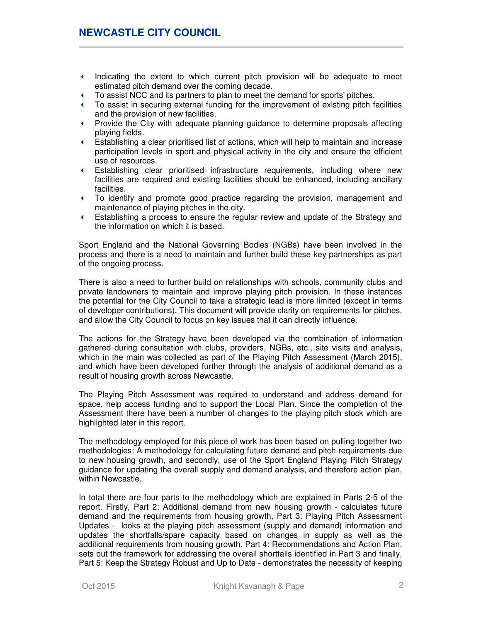- Indicating the extent to which current pitch provision will be adequate to meet estimated pitch demand over the coming decade.
- To assist NCC and its partners to plan to meet the demand for sports' pitches.
- To assist in securing external funding for the improvement of existing pitch facilities and the provision of new facilities.
- Provide the City with adequate planning guidance to determine proposals affecting playing fields.
- Establishing a clear prioritised list of actions, which will help to maintain and increase participation levels in sport and physical activity in the city and ensure the efficient use of resources.
- Establishing clear prioritised infrastructure requirements, including where new facilities are required and existing facilities should be enhanced, including ancillary facilities.
- To identify and promote good practice regarding the provision, management and maintenance of playing pitches in the city.
- Establishing a process to ensure the regular review and update of the Strategy and the information on which it is based.

Sport England and the National Governing Bodies (NGBs) have been involved in the process and there is a need to maintain and further build these key partnerships as part of the ongoing process.

There is also a need to further build on relationships with schools, community clubs and private landowners to maintain and improve playing pitch provision. In these instances the potential for the City Council to take a strategic lead is more limited (except in terms of developer contributions). This document will provide clarity on requirements for pitches, and allow the City Council to focus on key issues that it can directly influence.

The actions for the Strategy have been developed via the combination of information gathered during consultation with clubs, providers, NGBs, etc., site visits and analysis, which in the main was collected as part of the Playing Pitch Assessment (March 2015), and which have been developed further through the analysis of additional demand as a result of housing growth across Newcastle.

The Playing Pitch Assessment was required to understand and address demand for space, help access funding and to support the Local Plan. Since the completion of the Assessment there have been a number of changes to the playing pitch stock which are highlighted later in this report.

The methodology employed for this piece of work has been based on pulling together two methodologies: A methodology for calculating future demand and pitch requirements due to new housing growth, and secondly, use of the Sport England Playing Pitch Strategy guidance for updating the overall supply and demand analysis, and therefore action plan, within Newcastle.

In total there are four parts to the methodology which are explained in Parts 2-5 of the report. Firstly, Part 2: Additional demand from new housing growth - calculates future demand and the requirements from housing growth, Part 3: Playing Pitch Assessment Updates - looks at the playing pitch assessment (supply and demand) information and updates the shortfalls/spare capacity based on changes in supply as well as the additional requirements from housing growth. Part 4: Recommendations and Action Plan, sets out the framework for addressing the overall shortfalls identified in Part 3 and finally, Part 5: Keep the Strategy Robust and Up to Date - demonstrates the necessity of keeping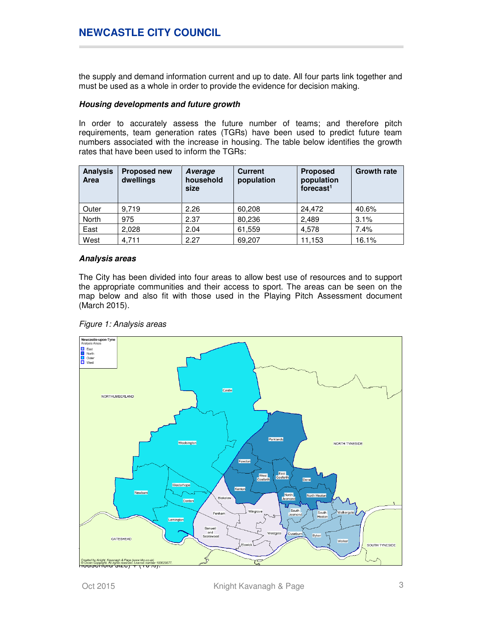the supply and demand information current and up to date. All four parts link together and must be used as a whole in order to provide the evidence for decision making.

### **Housing developments and future growth**

In order to accurately assess the future number of teams; and therefore pitch requirements, team generation rates (TGRs) have been used to predict future team numbers associated with the increase in housing. The table below identifies the growth rates that have been used to inform the TGRs:

| <b>Analysis</b><br><b>Area</b> | <b>Proposed new</b><br>dwellings | Average<br>household<br>size | <b>Current</b><br>population | <b>Proposed</b><br>population<br>forecast $1$ | <b>Growth rate</b> |
|--------------------------------|----------------------------------|------------------------------|------------------------------|-----------------------------------------------|--------------------|
| Outer                          | 9.719                            | 2.26                         | 60,208                       | 24.472                                        | 40.6%              |
| <b>North</b>                   | 975                              | 2.37                         | 80,236                       | 2.489                                         | 3.1%               |
| East                           | 2.028                            | 2.04                         | 61,559                       | 4,578                                         | 7.4%               |
| West                           | 4.711                            | 2.27                         | 69.207                       | 11,153                                        | 16.1%              |

### **Analysis areas**

The City has been divided into four areas to allow best use of resources and to support the appropriate communities and their access to sport. The areas can be seen on the map below and also fit with those used in the Playing Pitch Assessment document (March 2015).



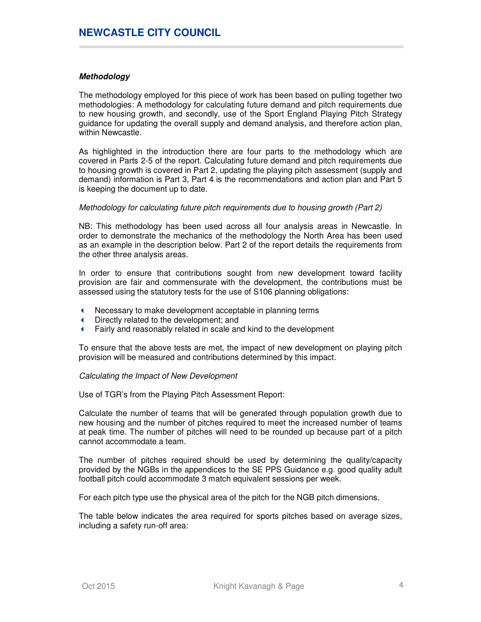## **Methodology**

The methodology employed for this piece of work has been based on pulling together two methodologies: A methodology for calculating future demand and pitch requirements due to new housing growth, and secondly, use of the Sport England Playing Pitch Strategy guidance for updating the overall supply and demand analysis, and therefore action plan, within Newcastle.

As highlighted in the introduction there are four parts to the methodology which are covered in Parts 2-5 of the report. Calculating future demand and pitch requirements due to housing growth is covered in Part 2, updating the playing pitch assessment (supply and demand) information is Part 3, Part 4 is the recommendations and action plan and Part 5 is keeping the document up to date.

#### Methodology for calculating future pitch requirements due to housing growth (Part 2)

NB: This methodology has been used across all four analysis areas in Newcastle. In order to demonstrate the mechanics of the methodology the North Area has been used as an example in the description below. Part 2 of the report details the requirements from the other three analysis areas.

In order to ensure that contributions sought from new development toward facility provision are fair and commensurate with the development, the contributions must be assessed using the statutory tests for the use of S106 planning obligations:

- Necessary to make development acceptable in planning terms
- Directly related to the development; and
- Fairly and reasonably related in scale and kind to the development

To ensure that the above tests are met, the impact of new development on playing pitch provision will be measured and contributions determined by this impact.

#### Calculating the Impact of New Development

Use of TGR's from the Playing Pitch Assessment Report:

Calculate the number of teams that will be generated through population growth due to new housing and the number of pitches required to meet the increased number of teams at peak time. The number of pitches will need to be rounded up because part of a pitch cannot accommodate a team.

The number of pitches required should be used by determining the quality/capacity provided by the NGBs in the appendices to the SE PPS Guidance e.g. good quality adult football pitch could accommodate 3 match equivalent sessions per week.

For each pitch type use the physical area of the pitch for the NGB pitch dimensions.

The table below indicates the area required for sports pitches based on average sizes, including a safety run-off area: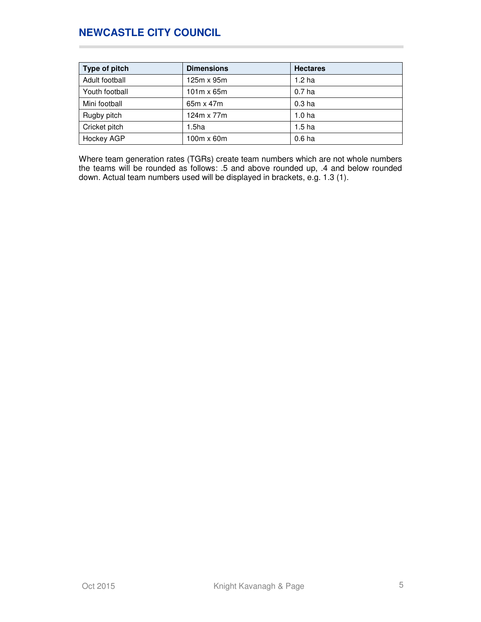| Type of pitch  | <b>Dimensions</b> | <b>Hectares</b>   |
|----------------|-------------------|-------------------|
| Adult football | $125m \times 95m$ | 1.2 <sub>ha</sub> |
| Youth football | $101m \times 65m$ | 0.7 <sub>ha</sub> |
| Mini football  | 65m x 47m         | 0.3 <sub>ha</sub> |
| Rugby pitch    | 124m x 77m        | 1.0 <sub>ha</sub> |
| Cricket pitch  | 1.5 <sub>ha</sub> | 1.5 <sub>ha</sub> |
| Hockey AGP     | $100m \times 60m$ | 0.6 <sub>ha</sub> |

Where team generation rates (TGRs) create team numbers which are not whole numbers the teams will be rounded as follows: .5 and above rounded up, .4 and below rounded down. Actual team numbers used will be displayed in brackets, e.g. 1.3 (1).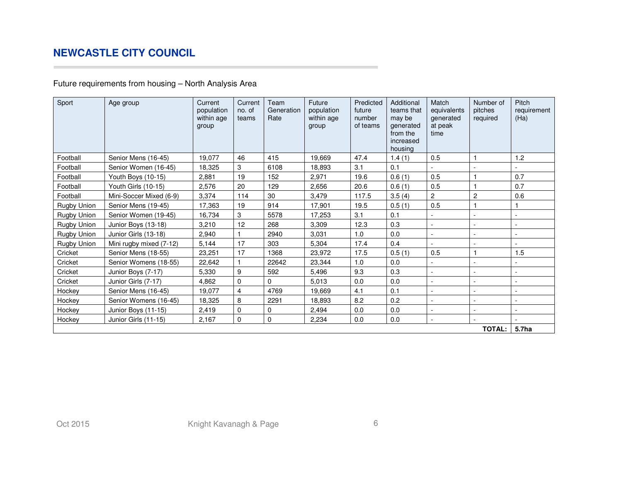## Future requirements from housing – North Analysis Area

| Sport              | Age group               | Current<br>population<br>within age<br>group | Current<br>no. of<br>teams | Team<br>Generation<br>Rate | Future<br>population<br>within age<br>group | Predicted<br>future<br>number<br>of teams | Additional<br>teams that<br>may be<br>generated<br>from the<br>increased<br>housing | Match<br>equivalents<br>generated<br>at peak<br>time | Number of<br>pitches<br>required | Pitch<br>requirement<br>(Ha) |
|--------------------|-------------------------|----------------------------------------------|----------------------------|----------------------------|---------------------------------------------|-------------------------------------------|-------------------------------------------------------------------------------------|------------------------------------------------------|----------------------------------|------------------------------|
| Football           | Senior Mens (16-45)     | 19,077                                       | 46                         | 415                        | 19,669                                      | 47.4                                      | 1.4(1)                                                                              | 0.5                                                  |                                  | 1.2                          |
| Football           | Senior Women (16-45)    | 18,325                                       | 3                          | 6108                       | 18.893                                      | 3.1                                       | 0.1                                                                                 |                                                      |                                  |                              |
| Football           | Youth Boys (10-15)      | 2,881                                        | 19                         | 152                        | 2,971                                       | 19.6                                      | 0.6(1)                                                                              | 0.5                                                  |                                  | 0.7                          |
| Football           | Youth Girls (10-15)     | 2,576                                        | 20                         | 129                        | 2,656                                       | 20.6                                      | 0.6(1)                                                                              | 0.5                                                  |                                  | 0.7                          |
| Football           | Mini-Soccer Mixed (6-9) | 3,374                                        | 114                        | 30                         | 3,479                                       | 117.5                                     | 3.5(4)                                                                              | $\overline{c}$                                       | $\overline{c}$                   | 0.6                          |
| <b>Rugby Union</b> | Senior Mens (19-45)     | 17,363                                       | 19                         | 914                        | 17.901                                      | 19.5                                      | 0.5(1)                                                                              | 0.5                                                  |                                  |                              |
| Rugby Union        | Senior Women (19-45)    | 16,734                                       | 3                          | 5578                       | 17,253                                      | 3.1                                       | 0.1                                                                                 |                                                      |                                  |                              |
| Rugby Union        | Junior Boys (13-18)     | 3,210                                        | 12                         | 268                        | 3,309                                       | 12.3                                      | 0.3                                                                                 |                                                      |                                  |                              |
| Rugby Union        | Junior Girls (13-18)    | 2,940                                        |                            | 2940                       | 3,031                                       | 1.0                                       | 0.0                                                                                 |                                                      |                                  |                              |
| Rugby Union        | Mini rugby mixed (7-12) | 5,144                                        | 17                         | 303                        | 5,304                                       | 17.4                                      | 0.4                                                                                 |                                                      |                                  |                              |
| Cricket            | Senior Mens (18-55)     | 23,251                                       | 17                         | 1368                       | 23,972                                      | 17.5                                      | 0.5(1)                                                                              | 0.5                                                  |                                  | 1.5                          |
| Cricket            | Senior Womens (18-55)   | 22,642                                       |                            | 22642                      | 23.344                                      | 1.0                                       | 0.0                                                                                 |                                                      |                                  |                              |
| Cricket            | Junior Boys (7-17)      | 5,330                                        | 9                          | 592                        | 5,496                                       | 9.3                                       | 0.3                                                                                 |                                                      |                                  |                              |
| Cricket            | Junior Girls (7-17)     | 4,862                                        | $\mathbf 0$                | $\Omega$                   | 5,013                                       | 0.0                                       | 0.0                                                                                 | $\sim$                                               |                                  |                              |
| Hockey             | Senior Mens (16-45)     | 19,077                                       | $\overline{4}$             | 4769                       | 19,669                                      | 4.1                                       | 0.1                                                                                 |                                                      |                                  |                              |
| Hockey             | Senior Womens (16-45)   | 18,325                                       | 8                          | 2291                       | 18,893                                      | 8.2                                       | 0.2                                                                                 | ÷.                                                   |                                  |                              |
| Hockey             | Junior Boys (11-15)     | 2,419                                        | $\mathbf 0$                | 0                          | 2,494                                       | 0.0                                       | 0.0                                                                                 | $\sim$                                               |                                  |                              |
| Hockey             | Junior Girls (11-15)    | 2,167                                        | $\mathbf 0$                | $\mathbf 0$                | 2,234                                       | 0.0                                       | 0.0                                                                                 | $\sim$                                               |                                  |                              |
|                    |                         |                                              |                            |                            |                                             |                                           |                                                                                     |                                                      | <b>TOTAL:</b>                    | 5.7ha                        |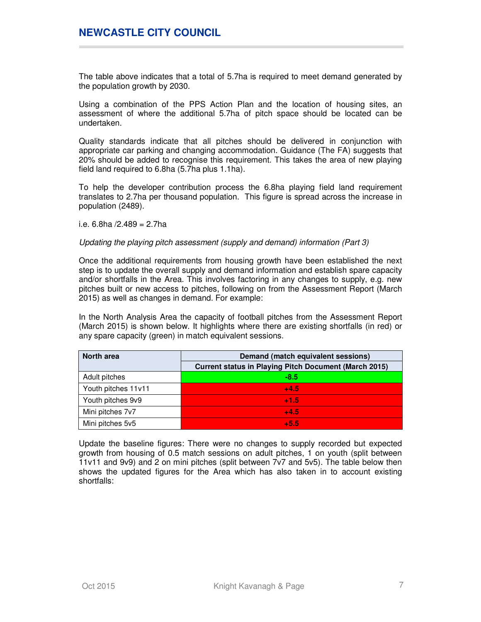The table above indicates that a total of 5.7ha is required to meet demand generated by the population growth by 2030.

Using a combination of the PPS Action Plan and the location of housing sites, an assessment of where the additional 5.7ha of pitch space should be located can be undertaken.

Quality standards indicate that all pitches should be delivered in conjunction with appropriate car parking and changing accommodation. Guidance (The FA) suggests that 20% should be added to recognise this requirement. This takes the area of new playing field land required to 6.8ha (5.7ha plus 1.1ha).

To help the developer contribution process the 6.8ha playing field land requirement translates to 2.7ha per thousand population. This figure is spread across the increase in population (2489).

i.e. 6.8ha /2.489 = 2.7ha

### Updating the playing pitch assessment (supply and demand) information (Part 3)

Once the additional requirements from housing growth have been established the next step is to update the overall supply and demand information and establish spare capacity and/or shortfalls in the Area. This involves factoring in any changes to supply, e.g. new pitches built or new access to pitches, following on from the Assessment Report (March 2015) as well as changes in demand. For example:

In the North Analysis Area the capacity of football pitches from the Assessment Report (March 2015) is shown below. It highlights where there are existing shortfalls (in red) or any spare capacity (green) in match equivalent sessions.

| <b>North area</b>   | Demand (match equivalent sessions)                           |  |  |
|---------------------|--------------------------------------------------------------|--|--|
|                     | <b>Current status in Playing Pitch Document (March 2015)</b> |  |  |
| Adult pitches       | $-8.5$                                                       |  |  |
| Youth pitches 11v11 | $+4.5$                                                       |  |  |
| Youth pitches 9v9   | $+1.5$                                                       |  |  |
| Mini pitches 7v7    | $+4.5$                                                       |  |  |
| Mini pitches 5v5    | $+5.5$                                                       |  |  |

Update the baseline figures: There were no changes to supply recorded but expected growth from housing of 0.5 match sessions on adult pitches, 1 on youth (split between 11v11 and 9v9) and 2 on mini pitches (split between 7v7 and 5v5). The table below then shows the updated figures for the Area which has also taken in to account existing shortfalls: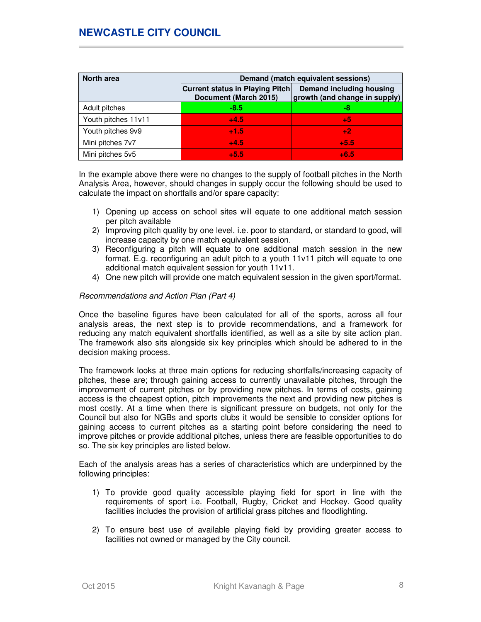| North area          |                                                                 | Demand (match equivalent sessions)                        |
|---------------------|-----------------------------------------------------------------|-----------------------------------------------------------|
|                     | <b>Current status in Playing Pitch</b><br>Document (March 2015) | Demand including housing<br>growth (and change in supply) |
| Adult pitches       | $-8.5$                                                          | -8                                                        |
| Youth pitches 11v11 | $+4.5$                                                          | +5                                                        |
| Youth pitches 9v9   | $+1.5$                                                          | $+2$                                                      |
| Mini pitches 7v7    | $+4.5$                                                          | $+5.5$                                                    |
| Mini pitches 5v5    | $+5.5$                                                          | $+6.5$                                                    |

In the example above there were no changes to the supply of football pitches in the North Analysis Area, however, should changes in supply occur the following should be used to calculate the impact on shortfalls and/or spare capacity:

- 1) Opening up access on school sites will equate to one additional match session per pitch available
- 2) Improving pitch quality by one level, i.e. poor to standard, or standard to good, will increase capacity by one match equivalent session.
- 3) Reconfiguring a pitch will equate to one additional match session in the new format. E.g. reconfiguring an adult pitch to a youth 11v11 pitch will equate to one additional match equivalent session for youth 11v11.
- 4) One new pitch will provide one match equivalent session in the given sport/format.

### Recommendations and Action Plan (Part 4)

Once the baseline figures have been calculated for all of the sports, across all four analysis areas, the next step is to provide recommendations, and a framework for reducing any match equivalent shortfalls identified, as well as a site by site action plan. The framework also sits alongside six key principles which should be adhered to in the decision making process.

The framework looks at three main options for reducing shortfalls/increasing capacity of pitches, these are; through gaining access to currently unavailable pitches, through the improvement of current pitches or by providing new pitches. In terms of costs, gaining access is the cheapest option, pitch improvements the next and providing new pitches is most costly. At a time when there is significant pressure on budgets, not only for the Council but also for NGBs and sports clubs it would be sensible to consider options for gaining access to current pitches as a starting point before considering the need to improve pitches or provide additional pitches, unless there are feasible opportunities to do so. The six key principles are listed below.

Each of the analysis areas has a series of characteristics which are underpinned by the following principles:

- 1) To provide good quality accessible playing field for sport in line with the requirements of sport i.e. Football, Rugby, Cricket and Hockey. Good quality facilities includes the provision of artificial grass pitches and floodlighting.
- 2) To ensure best use of available playing field by providing greater access to facilities not owned or managed by the City council.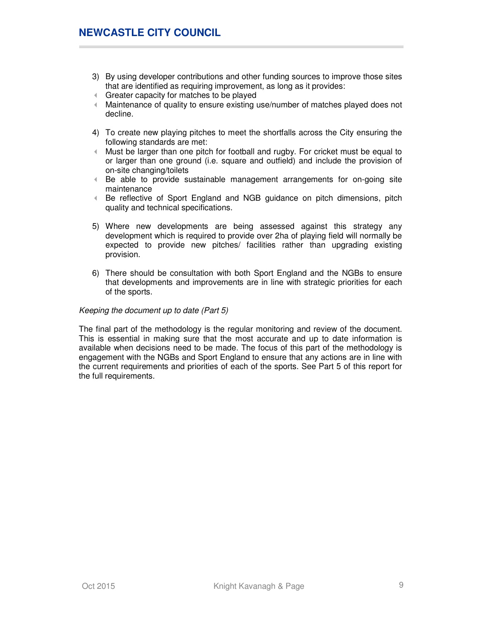- 3) By using developer contributions and other funding sources to improve those sites that are identified as requiring improvement, as long as it provides:
- Greater capacity for matches to be played
- Maintenance of quality to ensure existing use/number of matches played does not decline.
- 4) To create new playing pitches to meet the shortfalls across the City ensuring the following standards are met:
- Must be larger than one pitch for football and rugby. For cricket must be equal to or larger than one ground (i.e. square and outfield) and include the provision of on-site changing/toilets
- Be able to provide sustainable management arrangements for on-going site maintenance
- Be reflective of Sport England and NGB guidance on pitch dimensions, pitch quality and technical specifications.
- 5) Where new developments are being assessed against this strategy any development which is required to provide over 2ha of playing field will normally be expected to provide new pitches/ facilities rather than upgrading existing provision.
- 6) There should be consultation with both Sport England and the NGBs to ensure that developments and improvements are in line with strategic priorities for each of the sports.

### Keeping the document up to date (Part 5)

The final part of the methodology is the regular monitoring and review of the document. This is essential in making sure that the most accurate and up to date information is available when decisions need to be made. The focus of this part of the methodology is engagement with the NGBs and Sport England to ensure that any actions are in line with the current requirements and priorities of each of the sports. See Part 5 of this report for the full requirements.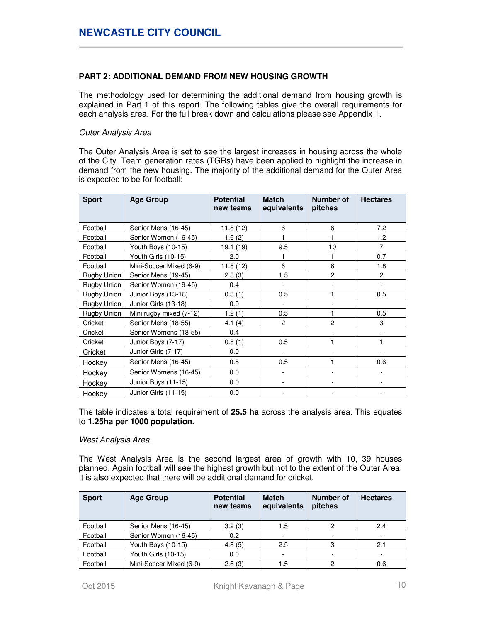## **PART 2: ADDITIONAL DEMAND FROM NEW HOUSING GROWTH**

The methodology used for determining the additional demand from housing growth is explained in Part 1 of this report. The following tables give the overall requirements for each analysis area. For the full break down and calculations please see Appendix 1.

### Outer Analysis Area

The Outer Analysis Area is set to see the largest increases in housing across the whole of the City. Team generation rates (TGRs) have been applied to highlight the increase in demand from the new housing. The majority of the additional demand for the Outer Area is expected to be for football:

| <b>Sport</b> | <b>Age Group</b>        | <b>Potential</b><br>new teams | <b>Match</b><br>equivalents | Number of<br>pitches | <b>Hectares</b> |
|--------------|-------------------------|-------------------------------|-----------------------------|----------------------|-----------------|
|              |                         |                               |                             |                      |                 |
| Football     | Senior Mens (16-45)     | 11.8(12)                      | 6                           | 6                    | 7.2             |
| Football     | Senior Women (16-45)    | 1.6(2)                        |                             |                      | 1.2             |
| Football     | Youth Boys (10-15)      | 19.1 (19)                     | 9.5                         | 10                   | $\overline{7}$  |
| Football     | Youth Girls (10-15)     | 2.0                           |                             |                      | 0.7             |
| Football     | Mini-Soccer Mixed (6-9) | 11.8(12)                      | 6                           | 6                    | 1.8             |
| Rugby Union  | Senior Mens (19-45)     | 2.8(3)                        | 1.5                         | $\overline{c}$       | $\overline{2}$  |
| Rugby Union  | Senior Women (19-45)    | 0.4                           |                             |                      | $\blacksquare$  |
| Rugby Union  | Junior Boys (13-18)     | 0.8(1)                        | 0.5                         |                      | 0.5             |
| Rugby Union  | Junior Girls (13-18)    | 0.0                           | ٠                           |                      |                 |
| Rugby Union  | Mini rugby mixed (7-12) | 1.2(1)                        | 0.5                         |                      | 0.5             |
| Cricket      | Senior Mens (18-55)     | 4.1(4)                        | $\overline{c}$              | $\overline{c}$       | 3               |
| Cricket      | Senior Womens (18-55)   | 0.4                           |                             |                      |                 |
| Cricket      | Junior Boys (7-17)      | 0.8(1)                        | 0.5                         | 1                    |                 |
| Cricket      | Junior Girls (7-17)     | 0.0                           |                             |                      |                 |
| Hockey       | Senior Mens (16-45)     | 0.8                           | 0.5                         | 1                    | 0.6             |
| Hockey       | Senior Womens (16-45)   | 0.0                           |                             |                      |                 |
| Hockey       | Junior Boys (11-15)     | 0.0                           |                             |                      |                 |
| Hockey       | Junior Girls (11-15)    | 0.0                           |                             |                      |                 |

The table indicates a total requirement of **25.5 ha** across the analysis area. This equates to **1.25ha per 1000 population.**

#### West Analysis Area

The West Analysis Area is the second largest area of growth with 10,139 houses planned. Again football will see the highest growth but not to the extent of the Outer Area. It is also expected that there will be additional demand for cricket.

| <b>Sport</b> | <b>Age Group</b>        | <b>Potential</b><br>new teams | <b>Match</b><br>equivalents | Number of<br>pitches | <b>Hectares</b> |
|--------------|-------------------------|-------------------------------|-----------------------------|----------------------|-----------------|
| Football     | Senior Mens (16-45)     | 3.2(3)                        | 1.5                         | 2                    | 2.4             |
| Football     | Senior Women (16-45)    | 0.2                           |                             |                      |                 |
| Football     | Youth Boys (10-15)      | 4.8(5)                        | 2.5                         | 3                    | 2.1             |
| Football     | Youth Girls (10-15)     | 0.0                           |                             |                      |                 |
| Football     | Mini-Soccer Mixed (6-9) | 2.6(3)                        | 1.5                         | 2                    | 0.6             |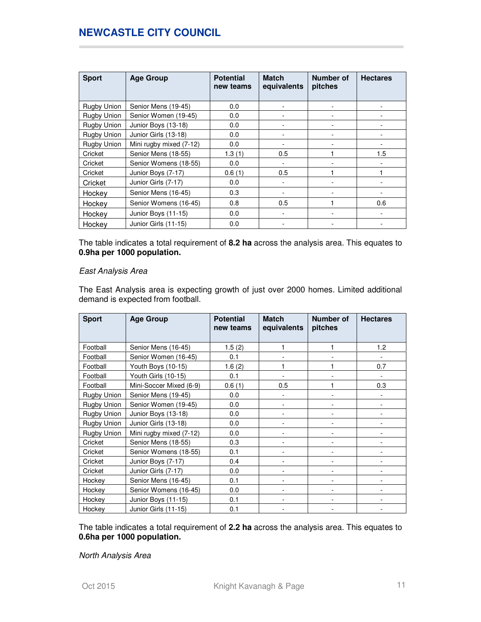| <b>Sport</b> | <b>Age Group</b>        | <b>Potential</b><br>new teams | <b>Match</b><br>equivalents | Number of<br>pitches | <b>Hectares</b> |
|--------------|-------------------------|-------------------------------|-----------------------------|----------------------|-----------------|
| Rugby Union  | Senior Mens (19-45)     | 0.0                           |                             |                      |                 |
| Rugby Union  | Senior Women (19-45)    | 0.0                           |                             |                      |                 |
| Rugby Union  | Junior Boys (13-18)     | 0.0                           |                             |                      |                 |
| Rugby Union  | Junior Girls (13-18)    | 0.0                           |                             |                      |                 |
| Rugby Union  | Mini rugby mixed (7-12) | 0.0                           | ٠                           |                      |                 |
| Cricket      | Senior Mens (18-55)     | 1.3(1)                        | 0.5                         |                      | 1.5             |
| Cricket      | Senior Womens (18-55)   | 0.0                           |                             |                      |                 |
| Cricket      | Junior Boys (7-17)      | 0.6(1)                        | 0.5                         |                      |                 |
| Cricket      | Junior Girls (7-17)     | 0.0                           |                             |                      |                 |
| Hockey       | Senior Mens (16-45)     | 0.3                           |                             |                      |                 |
| Hockey       | Senior Womens (16-45)   | 0.8                           | 0.5                         |                      | 0.6             |
| Hockey       | Junior Boys (11-15)     | 0.0                           |                             |                      |                 |
| Hockey       | Junior Girls (11-15)    | 0.0                           |                             |                      |                 |

The table indicates a total requirement of **8.2 ha** across the analysis area. This equates to **0.9ha per 1000 population.**

### East Analysis Area

The East Analysis area is expecting growth of just over 2000 homes. Limited additional demand is expected from football.

| <b>Sport</b> | <b>Age Group</b>        | <b>Potential</b><br>new teams | <b>Match</b><br>equivalents | Number of<br>pitches | <b>Hectares</b> |
|--------------|-------------------------|-------------------------------|-----------------------------|----------------------|-----------------|
| Football     | Senior Mens (16-45)     | 1.5(2)                        | 1                           | 1                    | 1.2             |
| Football     | Senior Women (16-45)    | 0.1                           |                             |                      |                 |
| Football     | Youth Boys (10-15)      | 1.6(2)                        | 1                           |                      | 0.7             |
| Football     | Youth Girls (10-15)     | 0.1                           |                             |                      |                 |
| Football     | Mini-Soccer Mixed (6-9) | 0.6(1)                        | 0.5                         | 1                    | 0.3             |
| Rugby Union  | Senior Mens (19-45)     | 0.0                           |                             |                      |                 |
| Rugby Union  | Senior Women (19-45)    | 0.0                           |                             |                      |                 |
| Rugby Union  | Junior Boys (13-18)     | 0.0                           |                             |                      |                 |
| Rugby Union  | Junior Girls (13-18)    | 0.0                           |                             |                      |                 |
| Rugby Union  | Mini rugby mixed (7-12) | 0.0                           |                             |                      |                 |
| Cricket      | Senior Mens (18-55)     | 0.3                           |                             |                      |                 |
| Cricket      | Senior Womens (18-55)   | 0.1                           |                             |                      |                 |
| Cricket      | Junior Boys (7-17)      | 0.4                           |                             |                      |                 |
| Cricket      | Junior Girls (7-17)     | 0.0                           |                             |                      |                 |
| Hockey       | Senior Mens (16-45)     | 0.1                           |                             |                      |                 |
| Hockey       | Senior Womens (16-45)   | 0.0                           |                             |                      |                 |
| Hockey       | Junior Boys (11-15)     | 0.1                           |                             |                      |                 |
| Hockey       | Junior Girls (11-15)    | 0.1                           |                             |                      |                 |

The table indicates a total requirement of **2.2 ha** across the analysis area. This equates to **0.6ha per 1000 population.**

North Analysis Area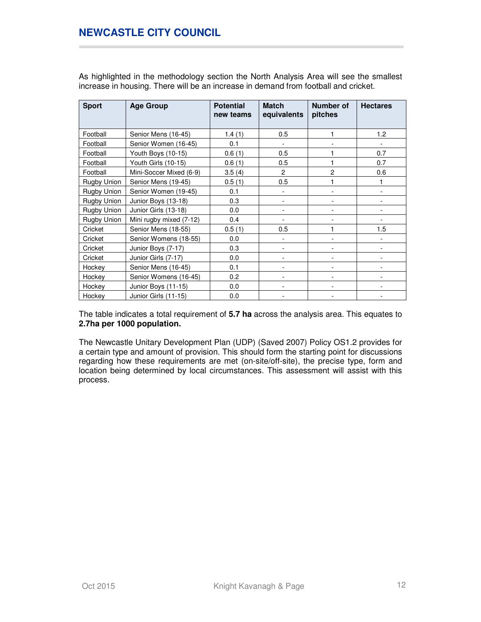| <b>Sport</b> | <b>Age Group</b>        | <b>Potential</b><br>new teams | <b>Match</b><br>equivalents | Number of<br>pitches | <b>Hectares</b> |
|--------------|-------------------------|-------------------------------|-----------------------------|----------------------|-----------------|
| Football     | Senior Mens (16-45)     | 1.4(1)                        | 0.5                         | 1                    | 1.2             |
| Football     | Senior Women (16-45)    | 0.1                           |                             |                      |                 |
| Football     | Youth Boys (10-15)      | 0.6(1)                        | 0.5                         |                      | 0.7             |
| Football     | Youth Girls (10-15)     | 0.6(1)                        | 0.5                         |                      | 0.7             |
| Football     | Mini-Soccer Mixed (6-9) | 3.5(4)                        | $\overline{c}$              | $\overline{c}$       | 0.6             |
| Rugby Union  | Senior Mens (19-45)     | 0.5(1)                        | 0.5                         | 1                    |                 |
| Rugby Union  | Senior Women (19-45)    | 0.1                           |                             |                      |                 |
| Rugby Union  | Junior Boys (13-18)     | 0.3                           |                             |                      |                 |
| Rugby Union  | Junior Girls (13-18)    | 0.0                           |                             |                      |                 |
| Rugby Union  | Mini rugby mixed (7-12) | 0.4                           |                             |                      |                 |
| Cricket      | Senior Mens (18-55)     | 0.5(1)                        | 0.5                         | 1                    | 1.5             |
| Cricket      | Senior Womens (18-55)   | 0.0                           |                             |                      |                 |
| Cricket      | Junior Boys (7-17)      | 0.3                           |                             |                      |                 |
| Cricket      | Junior Girls (7-17)     | 0.0                           |                             |                      |                 |
| Hockey       | Senior Mens (16-45)     | 0.1                           |                             |                      |                 |
| Hockey       | Senior Womens (16-45)   | 0.2                           | ۰                           |                      |                 |
| Hockey       | Junior Boys (11-15)     | 0.0                           |                             |                      |                 |
| Hockey       | Junior Girls (11-15)    | 0.0                           |                             |                      |                 |

As highlighted in the methodology section the North Analysis Area will see the smallest increase in housing. There will be an increase in demand from football and cricket.

The table indicates a total requirement of **5.7 ha** across the analysis area. This equates to **2.7ha per 1000 population.**

The Newcastle Unitary Development Plan (UDP) (Saved 2007) Policy OS1.2 provides for a certain type and amount of provision. This should form the starting point for discussions regarding how these requirements are met (on-site/off-site), the precise type, form and location being determined by local circumstances. This assessment will assist with this process.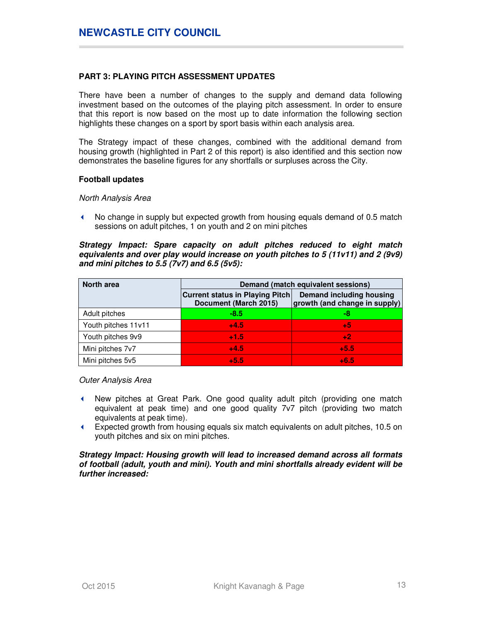## **PART 3: PLAYING PITCH ASSESSMENT UPDATES**

There have been a number of changes to the supply and demand data following investment based on the outcomes of the playing pitch assessment. In order to ensure that this report is now based on the most up to date information the following section highlights these changes on a sport by sport basis within each analysis area.

The Strategy impact of these changes, combined with the additional demand from housing growth (highlighted in Part 2 of this report) is also identified and this section now demonstrates the baseline figures for any shortfalls or surpluses across the City.

#### **Football updates**

### North Analysis Area

 No change in supply but expected growth from housing equals demand of 0.5 match sessions on adult pitches, 1 on youth and 2 on mini pitches

### **Strategy Impact: Spare capacity on adult pitches reduced to eight match equivalents and over play would increase on youth pitches to 5 (11v11) and 2 (9v9) and mini pitches to 5.5 (7v7) and 6.5 (5v5):**

| <b>North area</b>   |                                                                 | Demand (match equivalent sessions)                        |
|---------------------|-----------------------------------------------------------------|-----------------------------------------------------------|
|                     | <b>Current status in Playing Pitch</b><br>Document (March 2015) | Demand including housing<br>growth (and change in supply) |
| Adult pitches       | $-8.5$                                                          | -8                                                        |
| Youth pitches 11v11 | $+4.5$                                                          | $+5$                                                      |
| Youth pitches 9v9   | $+1.5$                                                          | $+2$                                                      |
| Mini pitches 7v7    | $+4.5$                                                          | $+5.5$                                                    |
| Mini pitches 5v5    | $+5.5$                                                          | $+6.5$                                                    |

Outer Analysis Area

- New pitches at Great Park. One good quality adult pitch (providing one match equivalent at peak time) and one good quality 7v7 pitch (providing two match equivalents at peak time).
- Expected growth from housing equals six match equivalents on adult pitches, 10.5 on youth pitches and six on mini pitches.

### **Strategy Impact: Housing growth will lead to increased demand across all formats of football (adult, youth and mini). Youth and mini shortfalls already evident will be further increased:**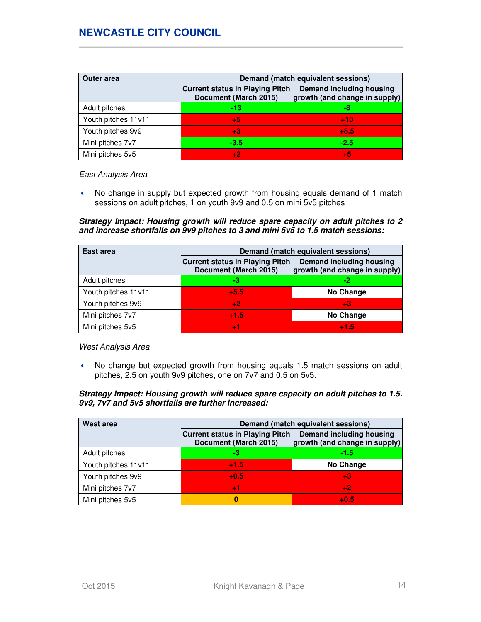| <b>Outer area</b>   | Demand (match equivalent sessions)                              |                                                           |  |  |  |
|---------------------|-----------------------------------------------------------------|-----------------------------------------------------------|--|--|--|
|                     | <b>Current status in Playing Pitch</b><br>Document (March 2015) | Demand including housing<br>growth (and change in supply) |  |  |  |
| Adult pitches       | -13                                                             | -8                                                        |  |  |  |
| Youth pitches 11v11 | $+5$                                                            | $+10$                                                     |  |  |  |
| Youth pitches 9v9   | $+3$                                                            | $+8.5$                                                    |  |  |  |
| Mini pitches 7v7    | $-3.5$                                                          | $-2.5$                                                    |  |  |  |
| Mini pitches 5v5    | $+2$                                                            | $+5$                                                      |  |  |  |

#### East Analysis Area

 No change in supply but expected growth from housing equals demand of 1 match sessions on adult pitches, 1 on youth 9v9 and 0.5 on mini 5v5 pitches

**Strategy Impact: Housing growth will reduce spare capacity on adult pitches to 2 and increase shortfalls on 9v9 pitches to 3 and mini 5v5 to 1.5 match sessions:** 

| East area           | Demand (match equivalent sessions)                              |                                                           |  |  |  |
|---------------------|-----------------------------------------------------------------|-----------------------------------------------------------|--|--|--|
|                     | <b>Current status in Playing Pitch</b><br>Document (March 2015) | Demand including housing<br>growth (and change in supply) |  |  |  |
| Adult pitches       | -3                                                              | -2                                                        |  |  |  |
| Youth pitches 11v11 | $+5.5$                                                          | <b>No Change</b>                                          |  |  |  |
| Youth pitches 9v9   | $+2$                                                            | $+3$                                                      |  |  |  |
| Mini pitches 7v7    | $+1.5$                                                          | No Change                                                 |  |  |  |
| Mini pitches 5v5    | $+1$                                                            | $+1.5$                                                    |  |  |  |

West Analysis Area

 No change but expected growth from housing equals 1.5 match sessions on adult pitches, 2.5 on youth 9v9 pitches, one on 7v7 and 0.5 on 5v5.

## **Strategy Impact: Housing growth will reduce spare capacity on adult pitches to 1.5. 9v9, 7v7 and 5v5 shortfalls are further increased:**

| West area           | Demand (match equivalent sessions)                              |                                                           |  |  |  |
|---------------------|-----------------------------------------------------------------|-----------------------------------------------------------|--|--|--|
|                     | <b>Current status in Playing Pitch</b><br>Document (March 2015) | Demand including housing<br>growth (and change in supply) |  |  |  |
| Adult pitches       | -3                                                              | $-1.5$                                                    |  |  |  |
| Youth pitches 11v11 | $+1.5$                                                          | No Change                                                 |  |  |  |
| Youth pitches 9v9   | $+0.5$                                                          | $+3$                                                      |  |  |  |
| Mini pitches 7v7    | $+1$                                                            | $+2$                                                      |  |  |  |
| Mini pitches 5v5    | 0                                                               | $+0.5$                                                    |  |  |  |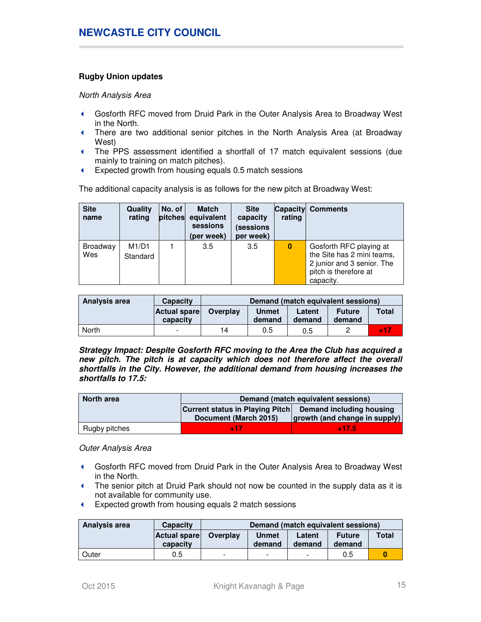## **Rugby Union updates**

North Analysis Area

- Gosforth RFC moved from Druid Park in the Outer Analysis Area to Broadway West in the North.
- There are two additional senior pitches in the North Analysis Area (at Broadway West)
- The PPS assessment identified a shortfall of 17 match equivalent sessions (due mainly to training on match pitches).
- Expected growth from housing equals 0.5 match sessions

The additional capacity analysis is as follows for the new pitch at Broadway West:

| <b>Site</b><br>name | <b>Quality</b><br>rating | No. of<br>pitches | <b>Match</b><br>equivalent<br>sessions<br>(per week) | <b>Site</b><br>capacity<br>(sessions<br>per week) | rating   | <b>Capacity Comments</b>                                                                                                  |
|---------------------|--------------------------|-------------------|------------------------------------------------------|---------------------------------------------------|----------|---------------------------------------------------------------------------------------------------------------------------|
| Broadway<br>Wes     | M1/D1<br>Standard        |                   | 3.5                                                  | 3.5                                               | $\bf{0}$ | Gosforth RFC playing at<br>the Site has 2 mini teams,<br>2 junior and 3 senior. The<br>pitch is therefore at<br>capacity. |

| Analysis area | <b>Capacity</b>          | Demand (match equivalent sessions) |                        |                  |                         |              |
|---------------|--------------------------|------------------------------------|------------------------|------------------|-------------------------|--------------|
|               | Actual spare<br>capacity | Overplay                           | <b>Unmet</b><br>demand | Latent<br>demand | <b>Future</b><br>demand | <b>Total</b> |
| North         | $\,$                     | 14                                 | 0.5                    | 0.5              |                         | <b>417</b>   |

**Strategy Impact: Despite Gosforth RFC moving to the Area the Club has acquired a new pitch. The pitch is at capacity which does not therefore affect the overall shortfalls in the City. However, the additional demand from housing increases the shortfalls to 17.5:** 

| North area    | Demand (match equivalent sessions)                          |         |  |  |  |
|---------------|-------------------------------------------------------------|---------|--|--|--|
|               | Current status in Playing Pitch<br>Demand including housing |         |  |  |  |
|               | growth (and change in supply)<br>Document (March 2015)      |         |  |  |  |
| Rugby pitches | - 17                                                        | $-17.5$ |  |  |  |

Outer Analysis Area

- Gosforth RFC moved from Druid Park in the Outer Analysis Area to Broadway West in the North.
- The senior pitch at Druid Park should not now be counted in the supply data as it is not available for community use.
- Expected growth from housing equals 2 match sessions

| Analysis area | Capacity                 | Demand (match equivalent sessions)                                         |                          |                          |              |  |
|---------------|--------------------------|----------------------------------------------------------------------------|--------------------------|--------------------------|--------------|--|
|               | Actual spare<br>capacity | Overplay<br>Unmet<br><b>Future</b><br>Latent<br>demand<br>demand<br>demand |                          |                          | <b>Total</b> |  |
| Outer         | 0.5                      | ۰                                                                          | $\overline{\phantom{a}}$ | $\overline{\phantom{a}}$ | 0.5          |  |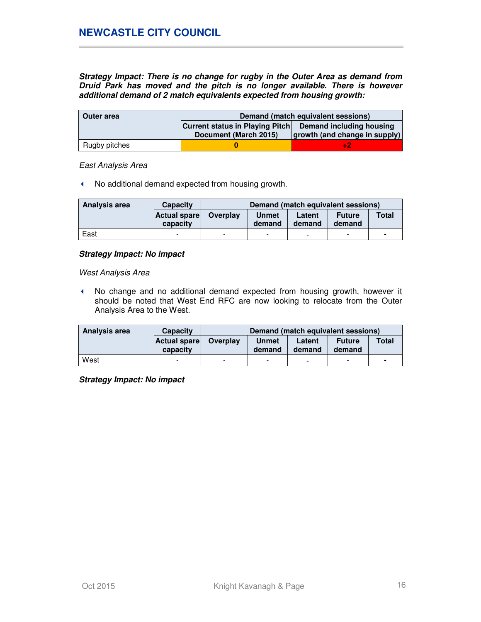**Strategy Impact: There is no change for rugby in the Outer Area as demand from Druid Park has moved and the pitch is no longer available. There is however additional demand of 2 match equivalents expected from housing growth:** 

| Outer area    | Demand (match equivalent sessions)                     |                          |  |  |  |
|---------------|--------------------------------------------------------|--------------------------|--|--|--|
|               | <b>Current status in Playing Pitch</b>                 | Demand including housing |  |  |  |
|               | growth (and change in supply)<br>Document (March 2015) |                          |  |  |  |
| Rugby pitches |                                                        |                          |  |  |  |

East Analysis Area

K No additional demand expected from housing growth.

| Analysis area | <b>Capacity</b>          | Demand (match equivalent sessions) |                        |                  |                         |       |
|---------------|--------------------------|------------------------------------|------------------------|------------------|-------------------------|-------|
|               | Actual spare<br>capacity | Overplay                           | <b>Unmet</b><br>demand | Latent<br>demand | <b>Future</b><br>demand | Total |
| East          | -                        | $\overline{\phantom{a}}$           | $\,$                   |                  | -                       | -     |

### **Strategy Impact: No impact**

West Analysis Area

 No change and no additional demand expected from housing growth, however it should be noted that West End RFC are now looking to relocate from the Outer Analysis Area to the West.

| Analysis area | <b>Capacity</b>           | Demand (match equivalent sessions) |                        |                  |                         |       |
|---------------|---------------------------|------------------------------------|------------------------|------------------|-------------------------|-------|
|               | Actual sparel<br>capacity | Overplay                           | <b>Unmet</b><br>demand | Latent<br>demand | <b>Future</b><br>demand | Total |
| West          |                           | $\overline{\phantom{0}}$           | -                      | -                | -                       | -     |

**Strategy Impact: No impact**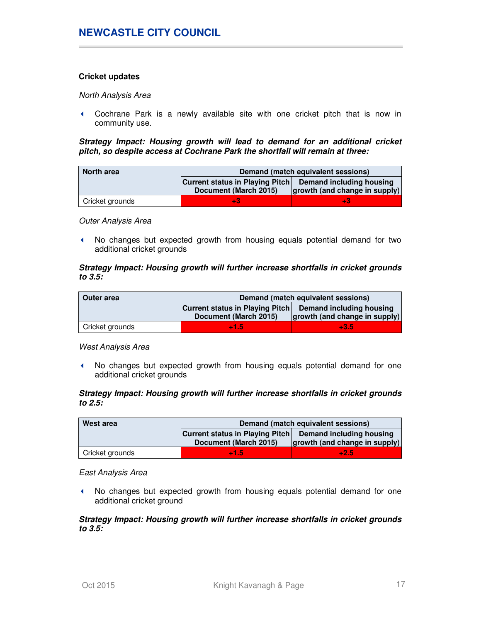## **Cricket updates**

North Analysis Area

 Cochrane Park is a newly available site with one cricket pitch that is now in community use.

**Strategy Impact: Housing growth will lead to demand for an additional cricket pitch, so despite access at Cochrane Park the shortfall will remain at three:** 

| North area      | Demand (match equivalent sessions)                                                                                           |  |  |  |  |
|-----------------|------------------------------------------------------------------------------------------------------------------------------|--|--|--|--|
|                 | <b>Current status in Playing Pitch</b><br>Demand including housing<br>growth (and change in supply)<br>Document (March 2015) |  |  |  |  |
| Cricket grounds | -3                                                                                                                           |  |  |  |  |

Outer Analysis Area

 No changes but expected growth from housing equals potential demand for two additional cricket grounds

### **Strategy Impact: Housing growth will further increase shortfalls in cricket grounds to 3.5:**

| Outer area      | Demand (match equivalent sessions)                                 |                               |  |  |  |
|-----------------|--------------------------------------------------------------------|-------------------------------|--|--|--|
|                 | <b>Current status in Playing Pitch</b><br>Demand including housing |                               |  |  |  |
|                 | Document (March 2015)                                              | growth (and change in supply) |  |  |  |
| Cricket grounds | $+1.5$                                                             | $+3.5$                        |  |  |  |

West Analysis Area

 No changes but expected growth from housing equals potential demand for one additional cricket grounds

### **Strategy Impact: Housing growth will further increase shortfalls in cricket grounds to 2.5:**

| West area       | Demand (match equivalent sessions)                                 |                               |  |  |
|-----------------|--------------------------------------------------------------------|-------------------------------|--|--|
|                 | <b>Current status in Playing Pitch</b><br>Demand including housing |                               |  |  |
|                 | Document (March 2015)                                              | growth (and change in supply) |  |  |
| Cricket grounds | $+1.5$                                                             | $+2.5$                        |  |  |

East Analysis Area

 No changes but expected growth from housing equals potential demand for one additional cricket ground

#### **Strategy Impact: Housing growth will further increase shortfalls in cricket grounds to 3.5:**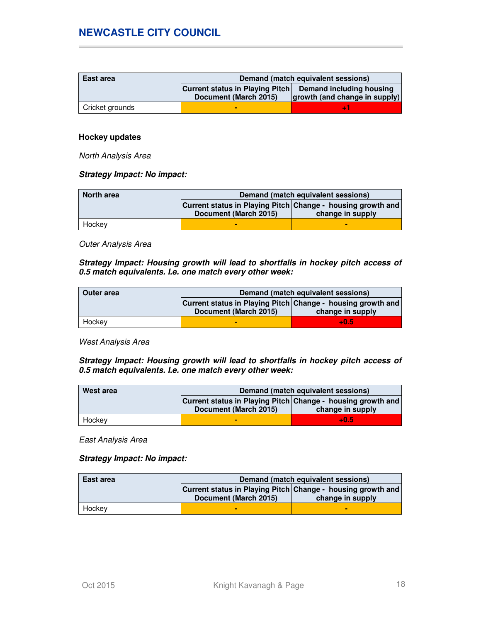| East area       | Demand (match equivalent sessions)                       |                               |  |
|-----------------|----------------------------------------------------------|-------------------------------|--|
|                 | Current status in Playing Pitch Demand including housing |                               |  |
|                 | Document (March 2015)                                    | growth (and change in supply) |  |
| Cricket grounds |                                                          |                               |  |

### **Hockey updates**

North Analysis Area

### **Strategy Impact: No impact:**

| <b>North area</b> | Demand (match equivalent sessions)                          |                  |  |
|-------------------|-------------------------------------------------------------|------------------|--|
|                   | Current status in Playing Pitch Change - housing growth and |                  |  |
|                   | Document (March 2015)                                       | change in supply |  |
| Hockey            | -                                                           | ▬                |  |

Outer Analysis Area

**Strategy Impact: Housing growth will lead to shortfalls in hockey pitch access of 0.5 match equivalents. I.e. one match every other week:** 

| Outer area | Demand (match equivalent sessions)                          |                  |  |  |
|------------|-------------------------------------------------------------|------------------|--|--|
|            | Current status in Playing Pitch Change - housing growth and |                  |  |  |
|            | Document (March 2015)                                       | change in supply |  |  |
| Hockey     |                                                             | $+0.5$           |  |  |

West Analysis Area

**Strategy Impact: Housing growth will lead to shortfalls in hockey pitch access of 0.5 match equivalents. I.e. one match every other week:** 

| West area | Demand (match equivalent sessions)                                                                       |        |  |  |
|-----------|----------------------------------------------------------------------------------------------------------|--------|--|--|
|           | Current status in Playing Pitch Change - housing growth and<br>Document (March 2015)<br>change in supply |        |  |  |
| Hockey    |                                                                                                          | $+0.5$ |  |  |

East Analysis Area

**Strategy Impact: No impact:** 

| East area | Demand (match equivalent sessions)                          |                  |  |
|-----------|-------------------------------------------------------------|------------------|--|
|           | Current status in Playing Pitch Change - housing growth and |                  |  |
|           | Document (March 2015)                                       | change in supply |  |
| Hockev    |                                                             | -                |  |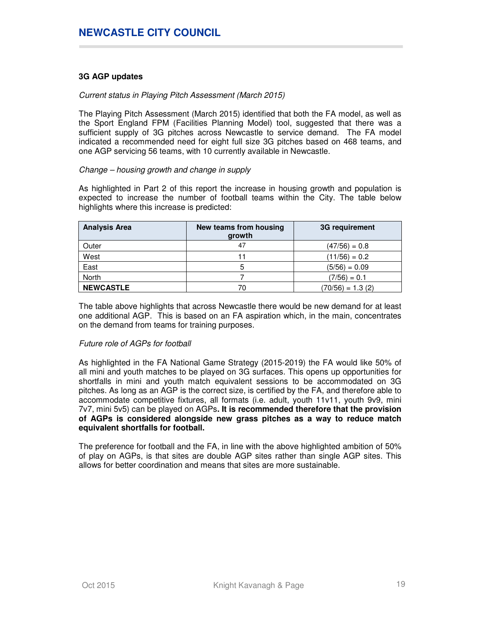## **3G AGP updates**

## Current status in Playing Pitch Assessment (March 2015)

The Playing Pitch Assessment (March 2015) identified that both the FA model, as well as the Sport England FPM (Facilities Planning Model) tool, suggested that there was a sufficient supply of 3G pitches across Newcastle to service demand. The FA model indicated a recommended need for eight full size 3G pitches based on 468 teams, and one AGP servicing 56 teams, with 10 currently available in Newcastle.

### Change – housing growth and change in supply

As highlighted in Part 2 of this report the increase in housing growth and population is expected to increase the number of football teams within the City. The table below highlights where this increase is predicted:

| <b>Analysis Area</b> | New teams from housing<br>growth | 3G requirement     |
|----------------------|----------------------------------|--------------------|
| Outer                | 47                               | $(47/56) = 0.8$    |
| West                 |                                  | $(11/56) = 0.2$    |
| East                 | 5                                | $(5/56) = 0.09$    |
| North                |                                  | $(7/56) = 0.1$     |
| <b>NEWCASTLE</b>     | 70                               | $(70/56) = 1.3(2)$ |

The table above highlights that across Newcastle there would be new demand for at least one additional AGP. This is based on an FA aspiration which, in the main, concentrates on the demand from teams for training purposes.

## Future role of AGPs for football

As highlighted in the FA National Game Strategy (2015-2019) the FA would like 50% of all mini and youth matches to be played on 3G surfaces. This opens up opportunities for shortfalls in mini and youth match equivalent sessions to be accommodated on 3G pitches. As long as an AGP is the correct size, is certified by the FA, and therefore able to accommodate competitive fixtures, all formats (i.e. adult, youth 11v11, youth 9v9, mini 7v7, mini 5v5) can be played on AGPs**. It is recommended therefore that the provision of AGPs is considered alongside new grass pitches as a way to reduce match equivalent shortfalls for football.** 

The preference for football and the FA, in line with the above highlighted ambition of 50% of play on AGPs, is that sites are double AGP sites rather than single AGP sites. This allows for better coordination and means that sites are more sustainable.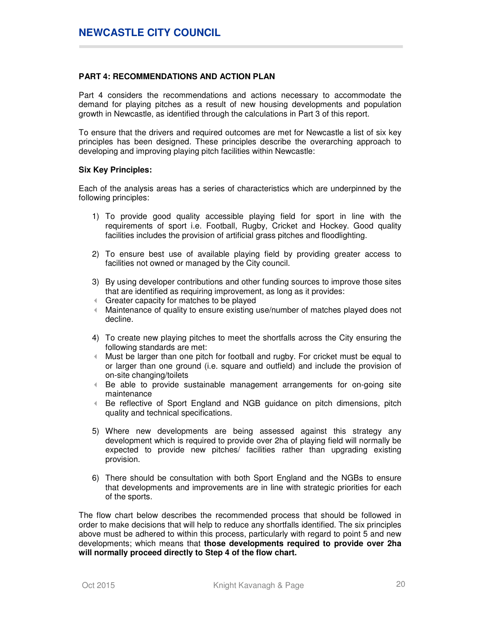### **PART 4: RECOMMENDATIONS AND ACTION PLAN**

Part 4 considers the recommendations and actions necessary to accommodate the demand for playing pitches as a result of new housing developments and population growth in Newcastle, as identified through the calculations in Part 3 of this report.

To ensure that the drivers and required outcomes are met for Newcastle a list of six key principles has been designed. These principles describe the overarching approach to developing and improving playing pitch facilities within Newcastle:

#### **Six Key Principles:**

Each of the analysis areas has a series of characteristics which are underpinned by the following principles:

- 1) To provide good quality accessible playing field for sport in line with the requirements of sport i.e. Football, Rugby, Cricket and Hockey. Good quality facilities includes the provision of artificial grass pitches and floodlighting.
- 2) To ensure best use of available playing field by providing greater access to facilities not owned or managed by the City council.
- 3) By using developer contributions and other funding sources to improve those sites that are identified as requiring improvement, as long as it provides:
- Greater capacity for matches to be played
- Maintenance of quality to ensure existing use/number of matches played does not decline.
- 4) To create new playing pitches to meet the shortfalls across the City ensuring the following standards are met:
- Must be larger than one pitch for football and rugby. For cricket must be equal to or larger than one ground (i.e. square and outfield) and include the provision of on-site changing/toilets
- Be able to provide sustainable management arrangements for on-going site maintenance
- Be reflective of Sport England and NGB guidance on pitch dimensions, pitch quality and technical specifications.
- 5) Where new developments are being assessed against this strategy any development which is required to provide over 2ha of playing field will normally be expected to provide new pitches/ facilities rather than upgrading existing provision.
- 6) There should be consultation with both Sport England and the NGBs to ensure that developments and improvements are in line with strategic priorities for each of the sports.

The flow chart below describes the recommended process that should be followed in order to make decisions that will help to reduce any shortfalls identified. The six principles above must be adhered to within this process, particularly with regard to point 5 and new developments; which means that **those developments required to provide over 2ha will normally proceed directly to Step 4 of the flow chart.**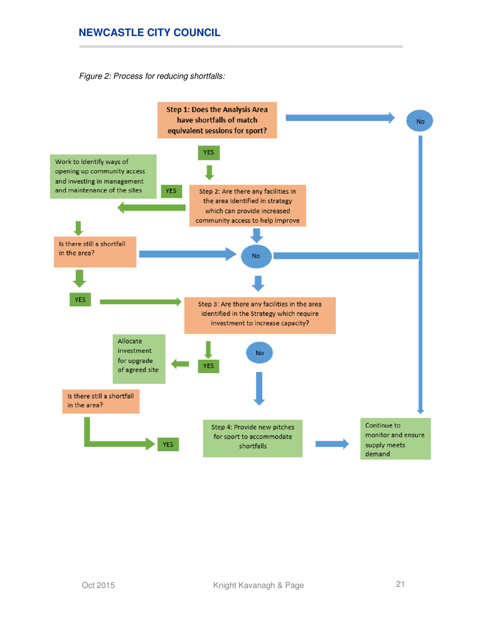Figure 2: Process for reducing shortfalls:

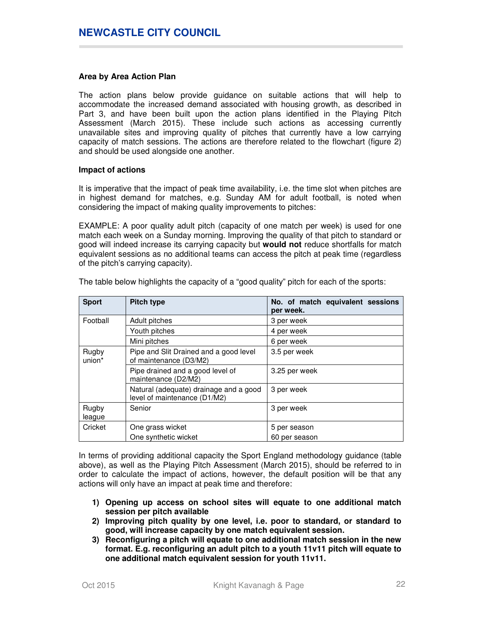#### **Area by Area Action Plan**

The action plans below provide guidance on suitable actions that will help to accommodate the increased demand associated with housing growth, as described in Part 3, and have been built upon the action plans identified in the Playing Pitch Assessment (March 2015). These include such actions as accessing currently unavailable sites and improving quality of pitches that currently have a low carrying capacity of match sessions. The actions are therefore related to the flowchart (figure 2) and should be used alongside one another.

#### **Impact of actions**

It is imperative that the impact of peak time availability, i.e. the time slot when pitches are in highest demand for matches, e.g. Sunday AM for adult football, is noted when considering the impact of making quality improvements to pitches:

EXAMPLE: A poor quality adult pitch (capacity of one match per week) is used for one match each week on a Sunday morning. Improving the quality of that pitch to standard or good will indeed increase its carrying capacity but **would not** reduce shortfalls for match equivalent sessions as no additional teams can access the pitch at peak time (regardless of the pitch's carrying capacity).

| <b>Sport</b>    | <b>Pitch type</b>                                                      | No. of match equivalent sessions<br>per week. |
|-----------------|------------------------------------------------------------------------|-----------------------------------------------|
| Football        | Adult pitches                                                          | 3 per week                                    |
|                 | Youth pitches                                                          | 4 per week                                    |
|                 | Mini pitches                                                           | 6 per week                                    |
| Rugby<br>union* | Pipe and Slit Drained and a good level<br>of maintenance (D3/M2)       | 3.5 per week                                  |
|                 | Pipe drained and a good level of<br>maintenance (D2/M2)                | 3.25 per week                                 |
|                 | Natural (adequate) drainage and a good<br>level of maintenance (D1/M2) | 3 per week                                    |
| Rugby<br>league | Senior                                                                 | 3 per week                                    |
| Cricket         | One grass wicket                                                       | 5 per season                                  |
|                 | One synthetic wicket                                                   | 60 per season                                 |

The table below highlights the capacity of a "good quality" pitch for each of the sports:

In terms of providing additional capacity the Sport England methodology guidance (table above), as well as the Playing Pitch Assessment (March 2015), should be referred to in order to calculate the impact of actions, however, the default position will be that any actions will only have an impact at peak time and therefore:

- **1) Opening up access on school sites will equate to one additional match session per pitch available**
- **2) Improving pitch quality by one level, i.e. poor to standard, or standard to good, will increase capacity by one match equivalent session.**
- **3) Reconfiguring a pitch will equate to one additional match session in the new format. E.g. reconfiguring an adult pitch to a youth 11v11 pitch will equate to one additional match equivalent session for youth 11v11.**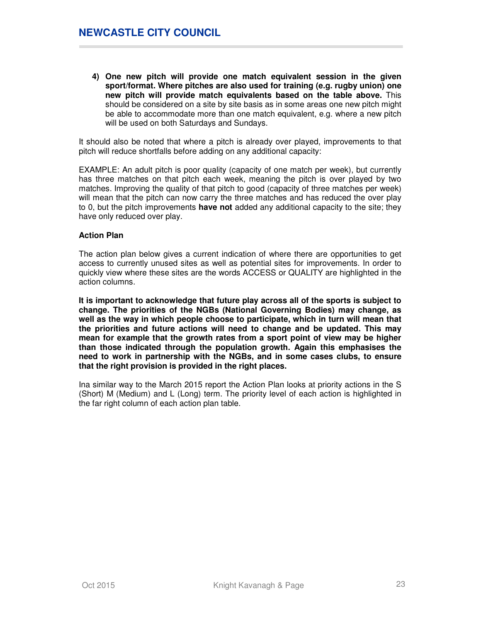**4) One new pitch will provide one match equivalent session in the given sport/format. Where pitches are also used for training (e.g. rugby union) one new pitch will provide match equivalents based on the table above.** This should be considered on a site by site basis as in some areas one new pitch might be able to accommodate more than one match equivalent, e.g. where a new pitch will be used on both Saturdays and Sundays.

It should also be noted that where a pitch is already over played, improvements to that pitch will reduce shortfalls before adding on any additional capacity:

EXAMPLE: An adult pitch is poor quality (capacity of one match per week), but currently has three matches on that pitch each week, meaning the pitch is over played by two matches. Improving the quality of that pitch to good (capacity of three matches per week) will mean that the pitch can now carry the three matches and has reduced the over play to 0, but the pitch improvements **have not** added any additional capacity to the site; they have only reduced over play.

### **Action Plan**

The action plan below gives a current indication of where there are opportunities to get access to currently unused sites as well as potential sites for improvements. In order to quickly view where these sites are the words ACCESS or QUALITY are highlighted in the action columns.

**It is important to acknowledge that future play across all of the sports is subject to change. The priorities of the NGBs (National Governing Bodies) may change, as well as the way in which people choose to participate, which in turn will mean that the priorities and future actions will need to change and be updated. This may mean for example that the growth rates from a sport point of view may be higher than those indicated through the population growth. Again this emphasises the need to work in partnership with the NGBs, and in some cases clubs, to ensure that the right provision is provided in the right places.** 

Ina similar way to the March 2015 report the Action Plan looks at priority actions in the S (Short) M (Medium) and L (Long) term. The priority level of each action is highlighted in the far right column of each action plan table.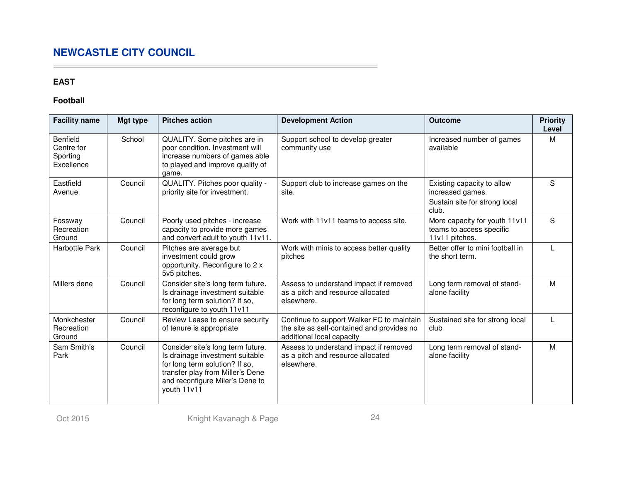## **EAST**

## **Football**

| <b>Facility name</b>                             | Mgt type | <b>Pitches action</b>                                                                                                                                                                        | <b>Development Action</b>                                                                                            | <b>Outcome</b>                                                                           | <b>Priority</b><br>Level |
|--------------------------------------------------|----------|----------------------------------------------------------------------------------------------------------------------------------------------------------------------------------------------|----------------------------------------------------------------------------------------------------------------------|------------------------------------------------------------------------------------------|--------------------------|
| Benfield<br>Centre for<br>Sporting<br>Excellence | School   | QUALITY. Some pitches are in<br>poor condition. Investment will<br>increase numbers of games able<br>to played and improve quality of<br>game.                                               | Support school to develop greater<br>community use                                                                   | Increased number of games<br>available                                                   | M                        |
| Eastfield<br>Avenue                              | Council  | QUALITY. Pitches poor quality -<br>priority site for investment.                                                                                                                             | Support club to increase games on the<br>site.                                                                       | Existing capacity to allow<br>increased games.<br>Sustain site for strong local<br>club. | S                        |
| Fossway<br>Recreation<br>Ground                  | Council  | Poorly used pitches - increase<br>capacity to provide more games<br>and convert adult to youth 11v11.                                                                                        | Work with 11v11 teams to access site.                                                                                | More capacity for youth 11v11<br>teams to access specific<br>11v11 pitches.              | S                        |
| Harbottle Park                                   | Council  | Pitches are average but<br>investment could grow<br>opportunity. Reconfigure to 2 x<br>5v5 pitches.                                                                                          | Work with minis to access better quality<br>pitches                                                                  | Better offer to mini football in<br>the short term.                                      |                          |
| Millers dene                                     | Council  | Consider site's long term future.<br>Is drainage investment suitable<br>for long term solution? If so,<br>reconfigure to youth 11v11                                                         | Assess to understand impact if removed<br>as a pitch and resource allocated<br>elsewhere.                            | Long term removal of stand-<br>alone facility                                            | M                        |
| Monkchester<br>Recreation<br>Ground              | Council  | Review Lease to ensure security<br>of tenure is appropriate                                                                                                                                  | Continue to support Walker FC to maintain<br>the site as self-contained and provides no<br>additional local capacity | Sustained site for strong local<br>club                                                  |                          |
| Sam Smith's<br>Park                              | Council  | Consider site's long term future.<br>Is drainage investment suitable<br>for long term solution? If so,<br>transfer play from Miller's Dene<br>and reconfigure Miler's Dene to<br>youth 11v11 | Assess to understand impact if removed<br>as a pitch and resource allocated<br>elsewhere.                            | Long term removal of stand-<br>alone facility                                            | M                        |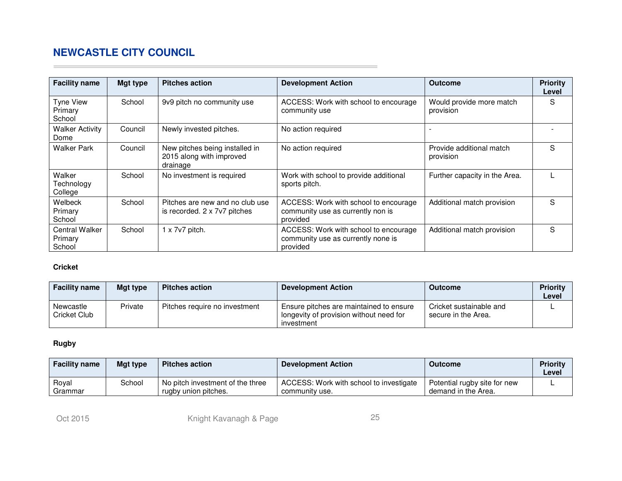| <b>Facility name</b>                | <b>Mgt type</b> | <b>Pitches action</b>                                                  | <b>Development Action</b>                                                               | <b>Outcome</b>                        | <b>Priority</b><br>Level |
|-------------------------------------|-----------------|------------------------------------------------------------------------|-----------------------------------------------------------------------------------------|---------------------------------------|--------------------------|
| Tyne View<br>Primary<br>School      | School          | 9v9 pitch no community use                                             | ACCESS: Work with school to encourage<br>community use                                  | Would provide more match<br>provision | S                        |
| <b>Walker Activity</b><br>Dome      | Council         | Newly invested pitches.                                                | No action required                                                                      |                                       |                          |
| <b>Walker Park</b>                  | Council         | New pitches being installed in<br>2015 along with improved<br>drainage | No action required                                                                      | Provide additional match<br>provision | S                        |
| Walker<br>Technology<br>College     | School          | No investment is required                                              | Work with school to provide additional<br>sports pitch.                                 | Further capacity in the Area.         |                          |
| Welbeck<br>Primary<br>School        | School          | Pitches are new and no club use<br>is recorded. 2 x 7v7 pitches        | ACCESS: Work with school to encourage<br>community use as currently non is<br>provided  | Additional match provision            | S                        |
| Central Walker<br>Primary<br>School | School          | $1 \times 7$ v7 pitch.                                                 | ACCESS: Work with school to encourage<br>community use as currently none is<br>provided | Additional match provision            | S                        |

## **Cricket**

 $\sim$ 

| <b>Facility name</b>      | Mat type | <b>Pitches action</b>         | Development Action                                                                               | <b>Outcome</b>                                 | <b>Priority</b><br>Level |
|---------------------------|----------|-------------------------------|--------------------------------------------------------------------------------------------------|------------------------------------------------|--------------------------|
| Newcastle<br>Cricket Club | Private  | Pitches require no investment | Ensure pitches are maintained to ensure<br>longevity of provision without need for<br>investment | Cricket sustainable and<br>secure in the Area. |                          |

## **Rugby**

| <b>Facility name</b> | Mgt type | <b>Pitches action</b>                                    | <b>Development Action</b>                                 | <b>Outcome</b>                                      | <b>Priority</b><br>Level |
|----------------------|----------|----------------------------------------------------------|-----------------------------------------------------------|-----------------------------------------------------|--------------------------|
| Roval<br>Grammar     | School   | No pitch investment of the three<br>rugby union pitches. | ACCESS: Work with school to investigate<br>community use. | Potential rugby site for new<br>demand in the Area. |                          |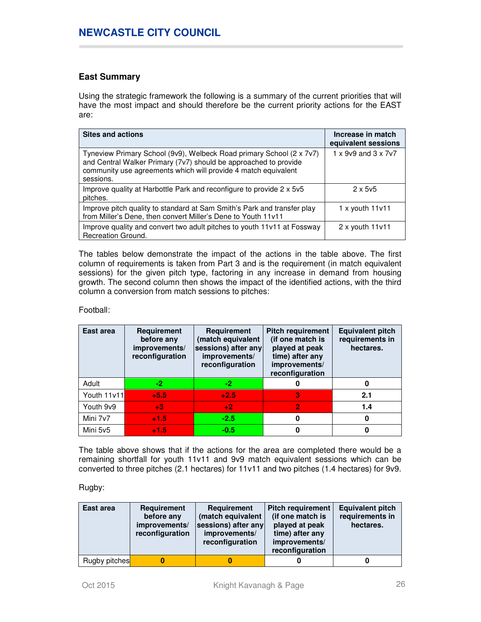## **East Summary**

Using the strategic framework the following is a summary of the current priorities that will have the most impact and should therefore be the current priority actions for the EAST are:

| <b>Sites and actions</b>                                                                                                                                                                                                | Increase in match<br>equivalent sessions |
|-------------------------------------------------------------------------------------------------------------------------------------------------------------------------------------------------------------------------|------------------------------------------|
| Tyneview Primary School (9v9), Welbeck Road primary School (2 x 7v7)<br>and Central Walker Primary (7v7) should be approached to provide<br>community use agreements which will provide 4 match equivalent<br>sessions. | $1 \times 9$ v9 and $3 \times 7$ v7      |
| Improve quality at Harbottle Park and reconfigure to provide 2 x 5v5<br>pitches.                                                                                                                                        | $2 \times 5 \sqrt{5}$                    |
| Improve pitch quality to standard at Sam Smith's Park and transfer play<br>from Miller's Dene, then convert Miller's Dene to Youth 11v11                                                                                | $1 x$ youth $11v11$                      |
| Improve quality and convert two adult pitches to youth 11v11 at Fossway<br>Recreation Ground.                                                                                                                           | $2 \times$ youth 11 $v11$                |

The tables below demonstrate the impact of the actions in the table above. The first column of requirements is taken from Part 3 and is the requirement (in match equivalent sessions) for the given pitch type, factoring in any increase in demand from housing growth. The second column then shows the impact of the identified actions, with the third column a conversion from match sessions to pitches:

### Football:

| East area   | Requirement<br>before any<br>improvements/<br>reconfiguration | Requirement<br>(match equivalent<br>sessions) after any<br>improvements/<br>reconfiguration | <b>Pitch requirement</b><br>(if one match is<br>played at peak<br>time) after any<br>improvements/<br>reconfiguration | <b>Equivalent pitch</b><br>requirements in<br>hectares. |
|-------------|---------------------------------------------------------------|---------------------------------------------------------------------------------------------|-----------------------------------------------------------------------------------------------------------------------|---------------------------------------------------------|
| Adult       | -2.                                                           | $-2$                                                                                        | 0                                                                                                                     | 0                                                       |
| Youth 11v11 | $+5.5$                                                        | $+2.5$                                                                                      | 3                                                                                                                     | 2.1                                                     |
| Youth 9v9   | $+3$                                                          | $+2$                                                                                        | $\overline{2}$                                                                                                        | 1.4                                                     |
| Mini 7v7    | $+1.5$                                                        | $-2.5$                                                                                      | 0                                                                                                                     | 0                                                       |
| Mini 5v5    | $+1.5$                                                        | $-0.5$                                                                                      | 0                                                                                                                     |                                                         |

The table above shows that if the actions for the area are completed there would be a remaining shortfall for youth 11v11 and 9v9 match equivalent sessions which can be converted to three pitches (2.1 hectares) for 11v11 and two pitches (1.4 hectares) for 9v9.

## Rugby:

| East area     | <b>Requirement</b><br>before any<br>improvements/<br>reconfiguration | <b>Requirement</b><br>(match equivalent<br>sessions) after any<br>improvements/<br>reconfiguration | <b>Pitch requirement</b><br>(if one match is<br>played at peak<br>time) after any<br>improvements/<br>reconfiguration | <b>Equivalent pitch</b><br>requirements in<br>hectares. |
|---------------|----------------------------------------------------------------------|----------------------------------------------------------------------------------------------------|-----------------------------------------------------------------------------------------------------------------------|---------------------------------------------------------|
| Rugby pitches |                                                                      |                                                                                                    |                                                                                                                       |                                                         |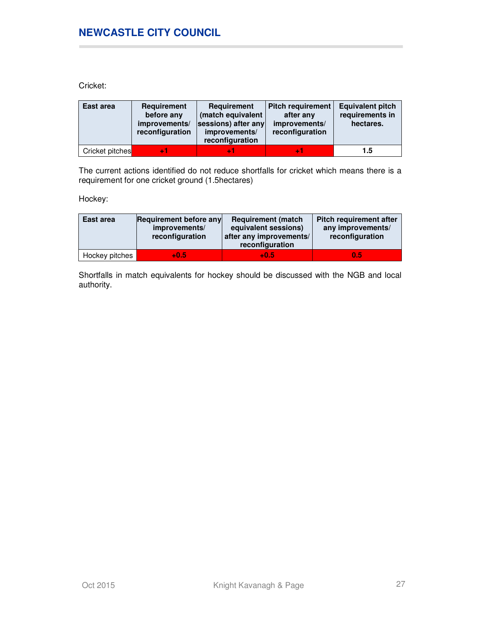Cricket:

| East area       | Requirement<br>before any<br>improvements/<br>reconfiguration | Requirement<br>(match equivalent<br>sessions) after any<br>improvements/<br>reconfiguration | <b>Pitch requirement</b><br>after any<br>improvements/<br>reconfiguration | <b>Equivalent pitch</b><br>requirements in<br>hectares. |
|-----------------|---------------------------------------------------------------|---------------------------------------------------------------------------------------------|---------------------------------------------------------------------------|---------------------------------------------------------|
| Cricket pitches |                                                               |                                                                                             |                                                                           | 1.5                                                     |

The current actions identified do not reduce shortfalls for cricket which means there is a requirement for one cricket ground (1.5hectares)

Hockey:

| East area      | Requirement before any<br>improvements/<br>reconfiguration | <b>Requirement (match)</b><br>equivalent sessions)<br>after any improvements/<br>reconfiguration | <b>Pitch requirement after</b><br>any improvements/<br>reconfiguration |
|----------------|------------------------------------------------------------|--------------------------------------------------------------------------------------------------|------------------------------------------------------------------------|
| Hockey pitches | $+0.5$                                                     | $+0.5$                                                                                           | 0.5                                                                    |

Shortfalls in match equivalents for hockey should be discussed with the NGB and local authority.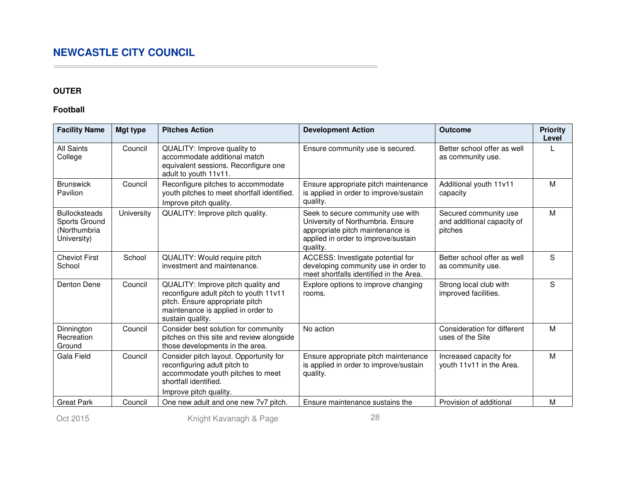## **OUTER**

 $\sim$ 

## **Football**

| <b>Facility Name</b>                                                 | Mgt type   | <b>Pitches Action</b>                                                                                                                                                     | <b>Development Action</b>                                                                                                                                     | <b>Outcome</b>                                                 | <b>Priority</b><br>Level |
|----------------------------------------------------------------------|------------|---------------------------------------------------------------------------------------------------------------------------------------------------------------------------|---------------------------------------------------------------------------------------------------------------------------------------------------------------|----------------------------------------------------------------|--------------------------|
| <b>All Saints</b><br>College                                         | Council    | QUALITY: Improve quality to<br>accommodate additional match<br>equivalent sessions. Reconfigure one<br>adult to youth 11v11.                                              | Ensure community use is secured.                                                                                                                              | Better school offer as well<br>as community use.               |                          |
| <b>Brunswick</b><br>Pavilion                                         | Council    | Reconfigure pitches to accommodate<br>youth pitches to meet shortfall identified.<br>Improve pitch quality.                                                               | Ensure appropriate pitch maintenance<br>is applied in order to improve/sustain<br>quality.                                                                    | Additional youth 11v11<br>capacity                             | M                        |
| <b>Bullocksteads</b><br>Sports Ground<br>(Northumbria<br>University) | University | QUALITY: Improve pitch quality.                                                                                                                                           | Seek to secure community use with<br>University of Northumbria. Ensure<br>appropriate pitch maintenance is<br>applied in order to improve/sustain<br>quality. | Secured community use<br>and additional capacity of<br>pitches | M                        |
| <b>Cheviot First</b><br>School                                       | School     | QUALITY: Would require pitch<br>investment and maintenance.                                                                                                               | ACCESS: Investigate potential for<br>developing community use in order to<br>meet shortfalls identified in the Area.                                          | Better school offer as well<br>as community use.               | S                        |
| Denton Dene                                                          | Council    | QUALITY: Improve pitch quality and<br>reconfigure adult pitch to youth 11v11<br>pitch. Ensure appropriate pitch<br>maintenance is applied in order to<br>sustain quality. | Explore options to improve changing<br>rooms.                                                                                                                 | Strong local club with<br>improved facilities.                 | S                        |
| Dinnington<br>Recreation<br>Ground                                   | Council    | Consider best solution for community<br>pitches on this site and review alongside<br>those developments in the area.                                                      | No action                                                                                                                                                     | Consideration for different<br>uses of the Site                | M                        |
| Gala Field                                                           | Council    | Consider pitch layout. Opportunity for<br>reconfiguring adult pitch to<br>accommodate youth pitches to meet<br>shortfall identified.<br>Improve pitch quality.            | Ensure appropriate pitch maintenance<br>is applied in order to improve/sustain<br>quality.                                                                    | Increased capacity for<br>youth 11v11 in the Area.             | M                        |
| <b>Great Park</b>                                                    | Council    | One new adult and one new 7v7 pitch.                                                                                                                                      | Ensure maintenance sustains the                                                                                                                               | Provision of additional                                        | M                        |

Oct 2015 **Knight Kavanagh & Page** 28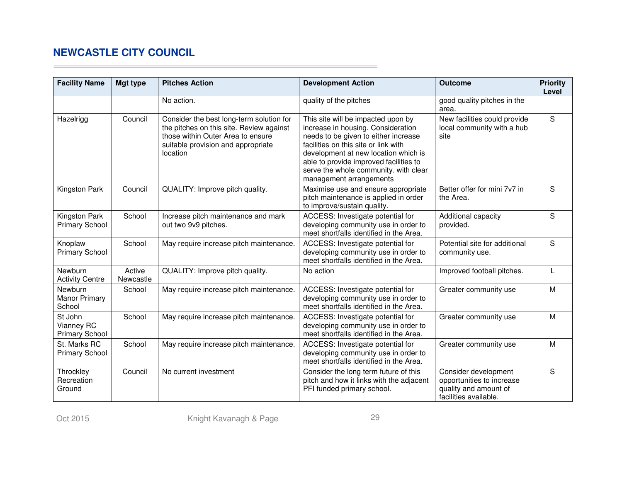$\sim$ 

| <b>Facility Name</b>                           | Mgt type            | <b>Pitches Action</b>                                                                                                                                                       | <b>Development Action</b>                                                                                                                                                                                                                                                                                      | <b>Outcome</b>                                                                                      | <b>Priority</b><br>Level |
|------------------------------------------------|---------------------|-----------------------------------------------------------------------------------------------------------------------------------------------------------------------------|----------------------------------------------------------------------------------------------------------------------------------------------------------------------------------------------------------------------------------------------------------------------------------------------------------------|-----------------------------------------------------------------------------------------------------|--------------------------|
|                                                |                     | No action.                                                                                                                                                                  | quality of the pitches                                                                                                                                                                                                                                                                                         | good quality pitches in the<br>area.                                                                |                          |
| Hazelrigg                                      | Council             | Consider the best long-term solution for<br>the pitches on this site. Review against<br>those within Outer Area to ensure<br>suitable provision and appropriate<br>location | This site will be impacted upon by<br>increase in housing. Consideration<br>needs to be given to either increase<br>facilities on this site or link with<br>development at new location which is<br>able to provide improved facilities to<br>serve the whole community. with clear<br>management arrangements | New facilities could provide<br>local community with a hub<br>site                                  | S                        |
| Kingston Park                                  | Council             | QUALITY: Improve pitch quality.                                                                                                                                             | Maximise use and ensure appropriate<br>pitch maintenance is applied in order<br>to improve/sustain quality.                                                                                                                                                                                                    | Better offer for mini 7v7 in<br>the Area.                                                           | S                        |
| Kingston Park<br><b>Primary School</b>         | School              | Increase pitch maintenance and mark<br>out two 9v9 pitches.                                                                                                                 | ACCESS: Investigate potential for<br>developing community use in order to<br>meet shortfalls identified in the Area.                                                                                                                                                                                           | Additional capacity<br>provided.                                                                    | S                        |
| Knoplaw<br><b>Primary School</b>               | School              | May require increase pitch maintenance.                                                                                                                                     | ACCESS: Investigate potential for<br>developing community use in order to<br>meet shortfalls identified in the Area.                                                                                                                                                                                           | Potential site for additional<br>community use.                                                     | S                        |
| Newburn<br><b>Activity Centre</b>              | Active<br>Newcastle | QUALITY: Improve pitch quality.                                                                                                                                             | No action                                                                                                                                                                                                                                                                                                      | Improved football pitches.                                                                          |                          |
| Newburn<br><b>Manor Primary</b><br>School      | School              | May require increase pitch maintenance.                                                                                                                                     | ACCESS: Investigate potential for<br>developing community use in order to<br>meet shortfalls identified in the Area.                                                                                                                                                                                           | Greater community use                                                                               | M                        |
| St John<br>Vianney RC<br><b>Primary School</b> | School              | May require increase pitch maintenance.                                                                                                                                     | ACCESS: Investigate potential for<br>developing community use in order to<br>meet shortfalls identified in the Area.                                                                                                                                                                                           | Greater community use                                                                               | M                        |
| St. Marks RC<br><b>Primary School</b>          | School              | May require increase pitch maintenance.                                                                                                                                     | ACCESS: Investigate potential for<br>developing community use in order to<br>meet shortfalls identified in the Area.                                                                                                                                                                                           | Greater community use                                                                               | M                        |
| Throckley<br>Recreation<br>Ground              | Council             | No current investment                                                                                                                                                       | Consider the long term future of this<br>pitch and how it links with the adjacent<br>PFI funded primary school.                                                                                                                                                                                                | Consider development<br>opportunities to increase<br>quality and amount of<br>facilities available. | S                        |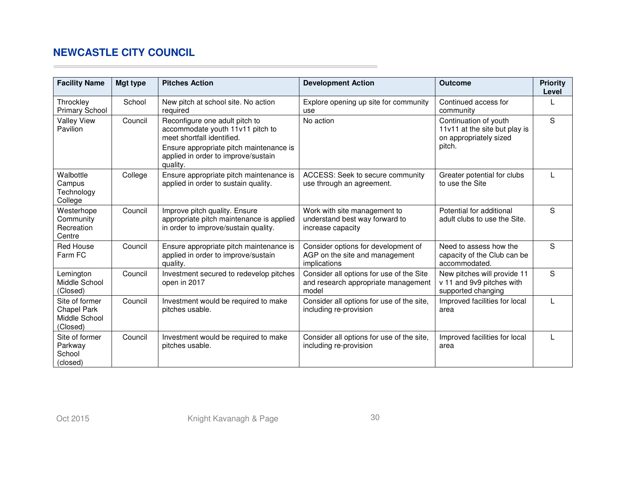$\sim$ 

| <b>Facility Name</b>                                       | Mgt type | <b>Pitches Action</b>                                                                                                                                                                          | <b>Development Action</b>                                                                | <b>Outcome</b>                                                                             | <b>Priority</b><br>Level |
|------------------------------------------------------------|----------|------------------------------------------------------------------------------------------------------------------------------------------------------------------------------------------------|------------------------------------------------------------------------------------------|--------------------------------------------------------------------------------------------|--------------------------|
| Throckley<br><b>Primary School</b>                         | School   | New pitch at school site. No action<br>required                                                                                                                                                | Explore opening up site for community<br>use                                             | Continued access for<br>community                                                          |                          |
| <b>Valley View</b><br>Pavilion                             | Council  | Reconfigure one adult pitch to<br>accommodate youth 11v11 pitch to<br>meet shortfall identified.<br>Ensure appropriate pitch maintenance is<br>applied in order to improve/sustain<br>quality. | No action                                                                                | Continuation of youth<br>11v11 at the site but play is<br>on appropriately sized<br>pitch. | S                        |
| Walbottle<br>Campus<br>Technology<br>College               | College  | Ensure appropriate pitch maintenance is<br>applied in order to sustain quality.                                                                                                                | ACCESS: Seek to secure community<br>use through an agreement.                            | Greater potential for clubs<br>to use the Site                                             |                          |
| Westerhope<br>Community<br>Recreation<br>Centre            | Council  | Improve pitch quality. Ensure<br>appropriate pitch maintenance is applied<br>in order to improve/sustain quality.                                                                              | Work with site management to<br>understand best way forward to<br>increase capacity      | Potential for additional<br>adult clubs to use the Site.                                   | S                        |
| <b>Red House</b><br>Farm FC                                | Council  | Ensure appropriate pitch maintenance is<br>applied in order to improve/sustain<br>quality.                                                                                                     | Consider options for development of<br>AGP on the site and management<br>implications    | Need to assess how the<br>capacity of the Club can be<br>accommodated.                     | S                        |
| Lemington<br>Middle School<br>(Closed)                     | Council  | Investment secured to redevelop pitches<br>open in 2017                                                                                                                                        | Consider all options for use of the Site<br>and research appropriate management<br>model | New pitches will provide 11<br>v 11 and 9v9 pitches with<br>supported changing             | S                        |
| Site of former<br>Chapel Park<br>Middle School<br>(Closed) | Council  | Investment would be required to make<br>pitches usable.                                                                                                                                        | Consider all options for use of the site,<br>including re-provision                      | Improved facilities for local<br>area                                                      |                          |
| Site of former<br>Parkway<br>School<br>(closed)            | Council  | Investment would be required to make<br>pitches usable.                                                                                                                                        | Consider all options for use of the site,<br>including re-provision                      | Improved facilities for local<br>area                                                      |                          |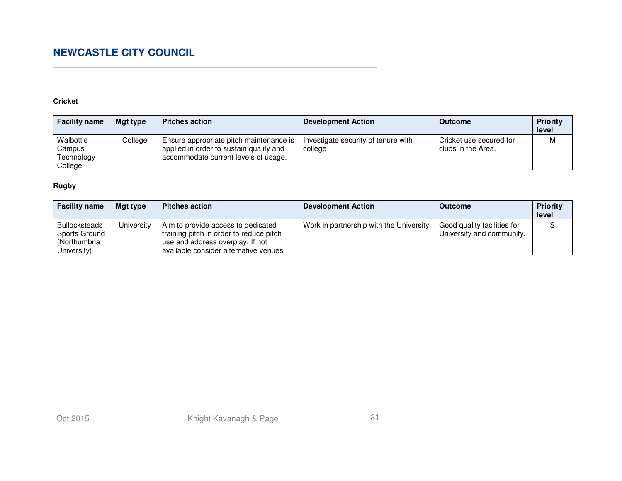## **Cricket**

 $\sim$ 

| <b>Facility name</b>                         | Mgt type | <b>Pitches action</b>                                                                                                      | <b>Development Action</b>                      | <b>Outcome</b>                                | <b>Priority</b><br>level |
|----------------------------------------------|----------|----------------------------------------------------------------------------------------------------------------------------|------------------------------------------------|-----------------------------------------------|--------------------------|
| Walbottle<br>Campus<br>Technology<br>College | College  | Ensure appropriate pitch maintenance is<br>applied in order to sustain quality and<br>accommodate current levels of usage. | Investigate security of tenure with<br>college | Cricket use secured for<br>clubs in the Area. | M                        |

## **Rugby**

| <b>Facility name</b>                                                 | Mgt type   | <b>Pitches action</b>                                                                                                                                      | <b>Development Action</b>                | <b>Outcome</b>                                           | <b>Priority</b><br>level |
|----------------------------------------------------------------------|------------|------------------------------------------------------------------------------------------------------------------------------------------------------------|------------------------------------------|----------------------------------------------------------|--------------------------|
| <b>Bullocksteads</b><br>Sports Ground<br>(Northumbria<br>University) | University | Aim to provide access to dedicated<br>training pitch in order to reduce pitch<br>use and address overplay. If not<br>available consider alternative venues | Work in partnership with the University. | Good quality facilities for<br>University and community. |                          |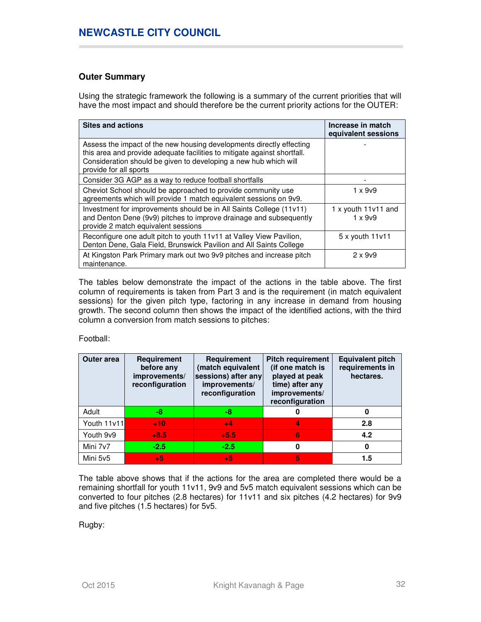## **Outer Summary**

Using the strategic framework the following is a summary of the current priorities that will have the most impact and should therefore be the current priority actions for the OUTER:

| <b>Sites and actions</b>                                                                                                                                                                                                                       | Increase in match<br>equivalent sessions |
|------------------------------------------------------------------------------------------------------------------------------------------------------------------------------------------------------------------------------------------------|------------------------------------------|
| Assess the impact of the new housing developments directly effecting<br>this area and provide adequate facilities to mitigate against shortfall.<br>Consideration should be given to developing a new hub which will<br>provide for all sports |                                          |
| Consider 3G AGP as a way to reduce football shortfalls                                                                                                                                                                                         |                                          |
| Cheviot School should be approached to provide community use<br>agreements which will provide 1 match equivalent sessions on 9v9.                                                                                                              | 1 x 9v9                                  |
| Investment for improvements should be in All Saints College (11v11)<br>and Denton Dene (9v9) pitches to improve drainage and subsequently<br>provide 2 match equivalent sessions                                                               | 1 x youth $11v11$ and<br>$1 \times 909$  |
| Reconfigure one adult pitch to youth 11v11 at Valley View Pavilion,<br>Denton Dene, Gala Field, Brunswick Pavilion and All Saints College                                                                                                      | $5x$ youth $11v11$                       |
| At Kingston Park Primary mark out two 9v9 pitches and increase pitch<br>maintenance.                                                                                                                                                           | $2 \times 909$                           |

The tables below demonstrate the impact of the actions in the table above. The first column of requirements is taken from Part 3 and is the requirement (in match equivalent sessions) for the given pitch type, factoring in any increase in demand from housing growth. The second column then shows the impact of the identified actions, with the third column a conversion from match sessions to pitches:

Football:

| Outer area  | Requirement<br>before any<br>improvements/<br>reconfiguration | Requirement<br>(match equivalent<br>sessions) after any<br>improvements/<br>reconfiguration | <b>Pitch requirement</b><br>(if one match is<br>played at peak<br>time) after any<br>improvements/<br>reconfiguration | <b>Equivalent pitch</b><br>requirements in<br>hectares. |
|-------------|---------------------------------------------------------------|---------------------------------------------------------------------------------------------|-----------------------------------------------------------------------------------------------------------------------|---------------------------------------------------------|
| Adult       | -8                                                            | -8                                                                                          | 0                                                                                                                     | 0                                                       |
| Youth 11v11 | $+10$                                                         | $+4$                                                                                        | 4                                                                                                                     | 2.8                                                     |
| Youth 9v9   | $+8.5$                                                        | $+5.5$                                                                                      | 6                                                                                                                     | 4.2                                                     |
| Mini 7v7    | $-2.5$                                                        | $-2.5$                                                                                      | 0                                                                                                                     | 0                                                       |
| Mini 5v5    | $+5$                                                          | $+5$                                                                                        | 5                                                                                                                     | 1.5                                                     |

The table above shows that if the actions for the area are completed there would be a remaining shortfall for youth 11v11, 9v9 and 5v5 match equivalent sessions which can be converted to four pitches (2.8 hectares) for 11v11 and six pitches (4.2 hectares) for 9v9 and five pitches (1.5 hectares) for 5v5.

Rugby: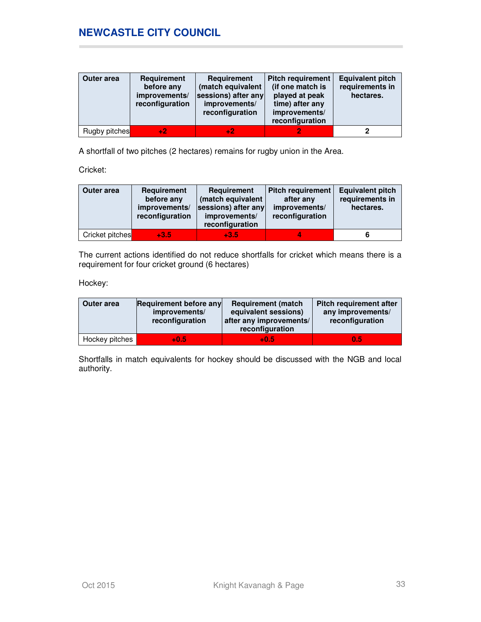| <b>Outer area</b> | <b>Requirement</b><br>before any<br>improvements/<br>reconfiguration | <b>Requirement</b><br>(match equivalent<br>sessions) after any<br>improvements/<br>reconfiguration | <b>Pitch requirement</b><br>(if one match is<br>played at peak<br>time) after any<br>improvements/<br>reconfiguration | <b>Equivalent pitch</b><br>requirements in<br>hectares. |
|-------------------|----------------------------------------------------------------------|----------------------------------------------------------------------------------------------------|-----------------------------------------------------------------------------------------------------------------------|---------------------------------------------------------|
| Rugby pitches     | $+2$                                                                 |                                                                                                    |                                                                                                                       |                                                         |

A shortfall of two pitches (2 hectares) remains for rugby union in the Area.

Cricket:

| Outer area      | Requirement<br>before any<br>improvements/<br>reconfiguration | Requirement<br>(match equivalent<br>sessions) after any<br>improvements/<br>reconfiguration | <b>Pitch requirement</b><br>after any<br>improvements/<br>reconfiguration | <b>Equivalent pitch</b><br>requirements in<br>hectares. |
|-----------------|---------------------------------------------------------------|---------------------------------------------------------------------------------------------|---------------------------------------------------------------------------|---------------------------------------------------------|
| Cricket pitches | $+3.5$                                                        | $+3.5$                                                                                      |                                                                           |                                                         |

The current actions identified do not reduce shortfalls for cricket which means there is a requirement for four cricket ground (6 hectares)

Hockey:

| Outer area     | Requirement before any<br>improvements/<br>reconfiguration | <b>Requirement (match)</b><br>equivalent sessions)<br>after any improvements/<br>reconfiguration | <b>Pitch requirement after</b><br>any improvements/<br>reconfiguration |
|----------------|------------------------------------------------------------|--------------------------------------------------------------------------------------------------|------------------------------------------------------------------------|
| Hockey pitches | $+0.5$                                                     | $+0.5$                                                                                           | 0.5                                                                    |

Shortfalls in match equivalents for hockey should be discussed with the NGB and local authority.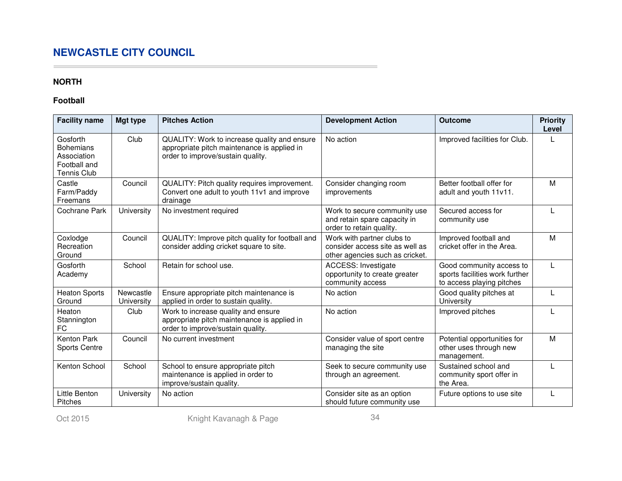## **NORTH**

 $\sim$ 

## **Football**

| <b>Facility name</b>                                                              | <b>Mgt type</b>         | <b>Pitches Action</b>                                                                                                            | <b>Development Action</b>                                                                        | <b>Outcome</b>                                                                          | <b>Priority</b><br>Level |
|-----------------------------------------------------------------------------------|-------------------------|----------------------------------------------------------------------------------------------------------------------------------|--------------------------------------------------------------------------------------------------|-----------------------------------------------------------------------------------------|--------------------------|
| Gosforth<br><b>Bohemians</b><br>Association<br>Football and<br><b>Tennis Club</b> | Club                    | QUALITY: Work to increase quality and ensure<br>appropriate pitch maintenance is applied in<br>order to improve/sustain quality. | No action                                                                                        | Improved facilities for Club.                                                           |                          |
| Castle<br>Farm/Paddy<br>Freemans                                                  | Council                 | QUALITY: Pitch quality requires improvement.<br>Convert one adult to youth 11v1 and improve<br>drainage                          | Consider changing room<br>improvements                                                           | Better football offer for<br>adult and youth 11v11.                                     | M                        |
| Cochrane Park                                                                     | University              | No investment required                                                                                                           | Work to secure community use<br>and retain spare capacity in<br>order to retain quality.         | Secured access for<br>community use                                                     |                          |
| Coxlodge<br>Recreation<br>Ground                                                  | Council                 | QUALITY: Improve pitch quality for football and<br>consider adding cricket square to site.                                       | Work with partner clubs to<br>consider access site as well as<br>other agencies such as cricket. | Improved football and<br>cricket offer in the Area.                                     | M                        |
| Gosforth<br>Academy                                                               | School                  | Retain for school use.                                                                                                           | <b>ACCESS: Investigate</b><br>opportunity to create greater<br>community access                  | Good community access to<br>sports facilities work further<br>to access playing pitches |                          |
| <b>Heaton Sports</b><br>Ground                                                    | Newcastle<br>University | Ensure appropriate pitch maintenance is<br>applied in order to sustain quality.                                                  | No action                                                                                        | Good quality pitches at<br>University                                                   | $\mathsf{L}$             |
| Heaton<br>Stannington<br>FC                                                       | Club                    | Work to increase quality and ensure<br>appropriate pitch maintenance is applied in<br>order to improve/sustain quality.          | No action                                                                                        | Improved pitches                                                                        |                          |
| <b>Kenton Park</b><br><b>Sports Centre</b>                                        | Council                 | No current investment                                                                                                            | Consider value of sport centre<br>managing the site                                              | Potential opportunities for<br>other uses through new<br>management.                    | M                        |
| Kenton School                                                                     | School                  | School to ensure appropriate pitch<br>maintenance is applied in order to<br>improve/sustain quality.                             | Seek to secure community use<br>through an agreement.                                            | Sustained school and<br>community sport offer in<br>the Area.                           |                          |
| Little Benton<br>Pitches                                                          | University              | No action                                                                                                                        | Consider site as an option<br>should future community use                                        | Future options to use site                                                              |                          |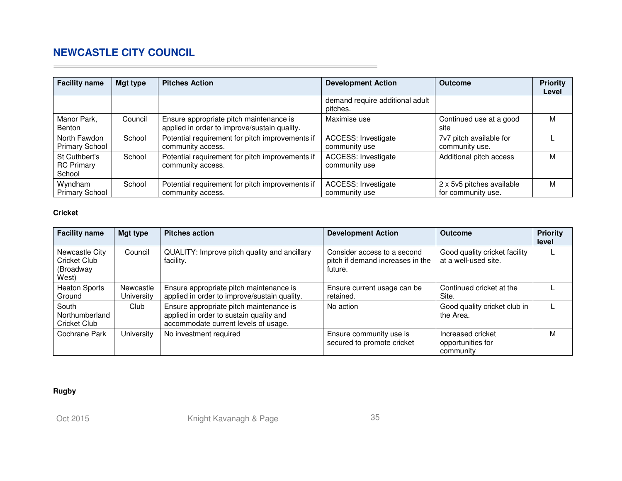| <b>Facility name</b>                         | Mgt type | <b>Pitches Action</b>                                                                   | <b>Development Action</b>                   | <b>Outcome</b>                                  | <b>Priority</b><br>Level |
|----------------------------------------------|----------|-----------------------------------------------------------------------------------------|---------------------------------------------|-------------------------------------------------|--------------------------|
|                                              |          |                                                                                         | demand require additional adult<br>pitches. |                                                 |                          |
| Manor Park,<br>Benton                        | Council  | Ensure appropriate pitch maintenance is<br>applied in order to improve/sustain quality. | Maximise use                                | Continued use at a good<br>site                 | М                        |
| North Fawdon<br><b>Primary School</b>        | School   | Potential requirement for pitch improvements if<br>community access.                    | <b>ACCESS: Investigate</b><br>community use | 7v7 pitch available for<br>community use.       |                          |
| St Cuthbert's<br><b>RC Primary</b><br>School | School   | Potential requirement for pitch improvements if<br>community access.                    | <b>ACCESS: Investigate</b><br>community use | Additional pitch access                         | M                        |
| Wyndham<br><b>Primary School</b>             | School   | Potential requirement for pitch improvements if<br>community access.                    | <b>ACCESS: Investigate</b><br>community use | 2 x 5v5 pitches available<br>for community use. | M                        |

## **Cricket**

 $\overline{\phantom{a}}$ 

| <b>Facility name</b>                                 | Mgt type                | <b>Pitches action</b>                                                                                                      | <b>Development Action</b>                                                  | <b>Outcome</b>                                        | <b>Priority</b><br>level |
|------------------------------------------------------|-------------------------|----------------------------------------------------------------------------------------------------------------------------|----------------------------------------------------------------------------|-------------------------------------------------------|--------------------------|
| Newcastle City<br>Cricket Club<br>(Broadway<br>West) | Council                 | QUALITY: Improve pitch quality and ancillary<br>facility.                                                                  | Consider access to a second<br>pitch if demand increases in the<br>future. | Good quality cricket facility<br>at a well-used site. |                          |
| <b>Heaton Sports</b><br>Ground                       | Newcastle<br>University | Ensure appropriate pitch maintenance is<br>applied in order to improve/sustain quality.                                    | Ensure current usage can be<br>retained.                                   | Continued cricket at the<br>Site.                     |                          |
| South<br>Northumberland<br>Cricket Club              | Club                    | Ensure appropriate pitch maintenance is<br>applied in order to sustain quality and<br>accommodate current levels of usage. | No action                                                                  | Good quality cricket club in<br>the Area.             |                          |
| Cochrane Park                                        | University              | No investment required                                                                                                     | Ensure community use is<br>secured to promote cricket                      | Increased cricket<br>opportunities for<br>community   | М                        |

## **Rugby**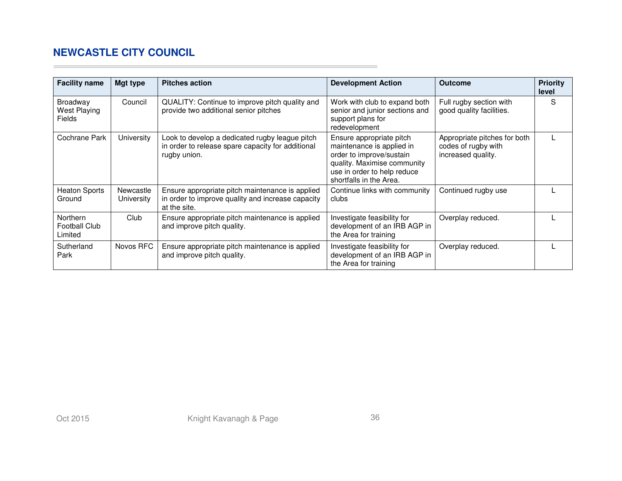$\sim$ 

| <b>Facility name</b>                             | Mgt type                | <b>Pitches action</b>                                                                                                | <b>Development Action</b>                                                                                                                                                  | <b>Outcome</b>                                                            | <b>Priority</b><br>level |
|--------------------------------------------------|-------------------------|----------------------------------------------------------------------------------------------------------------------|----------------------------------------------------------------------------------------------------------------------------------------------------------------------------|---------------------------------------------------------------------------|--------------------------|
| <b>Broadway</b><br>West Playing<br><b>Fields</b> | Council                 | QUALITY: Continue to improve pitch quality and<br>provide two additional senior pitches                              | Work with club to expand both<br>senior and junior sections and<br>support plans for<br>redevelopment                                                                      | Full rugby section with<br>good quality facilities.                       | S                        |
| Cochrane Park                                    | University              | Look to develop a dedicated rugby league pitch<br>in order to release spare capacity for additional<br>rugby union.  | Ensure appropriate pitch<br>maintenance is applied in<br>order to improve/sustain<br>quality. Maximise community<br>use in order to help reduce<br>shortfalls in the Area. | Appropriate pitches for both<br>codes of rugby with<br>increased quality. |                          |
| <b>Heaton Sports</b><br>Ground                   | Newcastle<br>University | Ensure appropriate pitch maintenance is applied<br>in order to improve quality and increase capacity<br>at the site. | Continue links with community<br>clubs                                                                                                                                     | Continued rugby use                                                       |                          |
| Northern<br><b>Football Club</b><br>Limited      | Club                    | Ensure appropriate pitch maintenance is applied<br>and improve pitch quality.                                        | Investigate feasibility for<br>development of an IRB AGP in<br>the Area for training                                                                                       | Overplay reduced.                                                         |                          |
| Sutherland<br>Park                               | Novos RFC               | Ensure appropriate pitch maintenance is applied<br>and improve pitch quality.                                        | Investigate feasibility for<br>development of an IRB AGP in<br>the Area for training                                                                                       | Overplay reduced.                                                         |                          |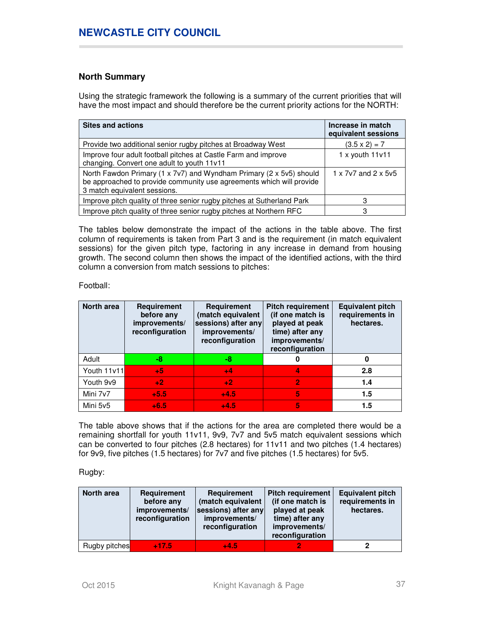## **North Summary**

Using the strategic framework the following is a summary of the current priorities that will have the most impact and should therefore be the current priority actions for the NORTH:

| <b>Sites and actions</b>                                                                                                                                                    | Increase in match<br>equivalent sessions |
|-----------------------------------------------------------------------------------------------------------------------------------------------------------------------------|------------------------------------------|
| Provide two additional senior rugby pitches at Broadway West                                                                                                                | $(3.5 \times 2) = 7$                     |
| Improve four adult football pitches at Castle Farm and improve<br>changing. Convert one adult to youth 11v11                                                                | $1 x$ youth $11v11$                      |
| North Fawdon Primary (1 x 7v7) and Wyndham Primary (2 x 5v5) should<br>be approached to provide community use agreements which will provide<br>3 match equivalent sessions. | 1 x 7y7 and 2 x 5y5                      |
| Improve pitch quality of three senior rugby pitches at Sutherland Park                                                                                                      |                                          |
| Improve pitch quality of three senior rugby pitches at Northern RFC                                                                                                         | 3                                        |

The tables below demonstrate the impact of the actions in the table above. The first column of requirements is taken from Part 3 and is the requirement (in match equivalent sessions) for the given pitch type, factoring in any increase in demand from housing growth. The second column then shows the impact of the identified actions, with the third column a conversion from match sessions to pitches:

Football:

| North area  | Requirement<br>before any<br>improvements/<br>reconfiguration | Requirement<br>(match equivalent<br>sessions) after any<br>improvements/<br>reconfiguration | <b>Pitch requirement</b><br>(if one match is<br>played at peak<br>time) after any<br>improvements/<br>reconfiguration | <b>Equivalent pitch</b><br>requirements in<br>hectares. |
|-------------|---------------------------------------------------------------|---------------------------------------------------------------------------------------------|-----------------------------------------------------------------------------------------------------------------------|---------------------------------------------------------|
| Adult       | -8                                                            | -8                                                                                          | 0                                                                                                                     | 0                                                       |
| Youth 11v11 | $+5$                                                          | $+4$                                                                                        |                                                                                                                       | 2.8                                                     |
| Youth 9v9   | $+2$                                                          | $+2$                                                                                        | $\overline{2}$                                                                                                        | 1.4                                                     |
| Mini 7v7    | $+5.5$                                                        | $+4.5$                                                                                      | 5                                                                                                                     | 1.5                                                     |
| Mini 5v5    | $+6.5$                                                        | $+4.5$                                                                                      | 5                                                                                                                     | 1.5                                                     |

The table above shows that if the actions for the area are completed there would be a remaining shortfall for youth 11v11, 9v9, 7v7 and 5v5 match equivalent sessions which can be converted to four pitches (2.8 hectares) for 11v11 and two pitches (1.4 hectares) for 9v9, five pitches (1.5 hectares) for 7v7 and five pitches (1.5 hectares) for 5v5.

Rugby:

| North area    | <b>Requirement</b><br>before any<br>improvements/<br>reconfiguration | <b>Requirement</b><br>(match equivalent<br>sessions) after any<br>improvements/<br>reconfiguration | <b>Pitch requirement</b><br>(if one match is<br>played at peak<br>time) after any<br>improvements/<br>reconfiguration | <b>Equivalent pitch</b><br>requirements in<br>hectares. |
|---------------|----------------------------------------------------------------------|----------------------------------------------------------------------------------------------------|-----------------------------------------------------------------------------------------------------------------------|---------------------------------------------------------|
| Rugby pitches | $+17.5$                                                              | $+4.5$                                                                                             |                                                                                                                       |                                                         |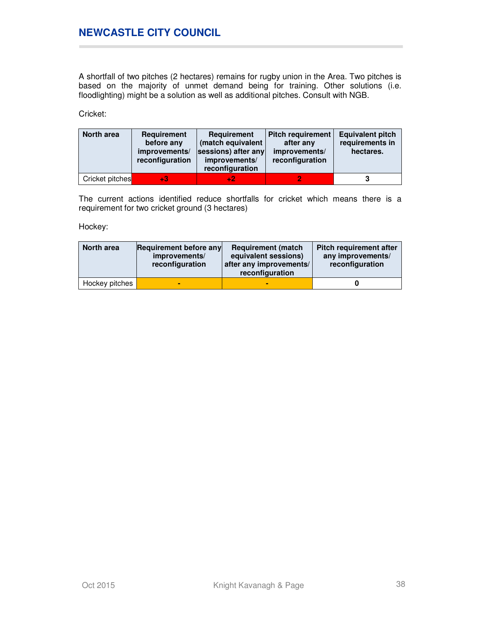A shortfall of two pitches (2 hectares) remains for rugby union in the Area. Two pitches is based on the majority of unmet demand being for training. Other solutions (i.e. floodlighting) might be a solution as well as additional pitches. Consult with NGB.

Cricket:

| North area      | Requirement<br>before any<br>improvements/<br>reconfiguration | Requirement<br>(match equivalent<br>sessions) after any<br>improvements/<br>reconfiguration | <b>Pitch requirement</b><br>after any<br>improvements/<br>reconfiguration | <b>Equivalent pitch</b><br>requirements in<br>hectares. |
|-----------------|---------------------------------------------------------------|---------------------------------------------------------------------------------------------|---------------------------------------------------------------------------|---------------------------------------------------------|
| Cricket pitches | $+3$                                                          | +2.                                                                                         |                                                                           |                                                         |

The current actions identified reduce shortfalls for cricket which means there is a requirement for two cricket ground (3 hectares)

Hockey:

| North area     | <b>Requirement before any</b><br>improvements/<br>reconfiguration | <b>Requirement (match)</b><br>equivalent sessions)<br>after any improvements/<br>reconfiguration | <b>Pitch requirement after</b><br>any improvements/<br>reconfiguration |
|----------------|-------------------------------------------------------------------|--------------------------------------------------------------------------------------------------|------------------------------------------------------------------------|
| Hockey pitches |                                                                   |                                                                                                  |                                                                        |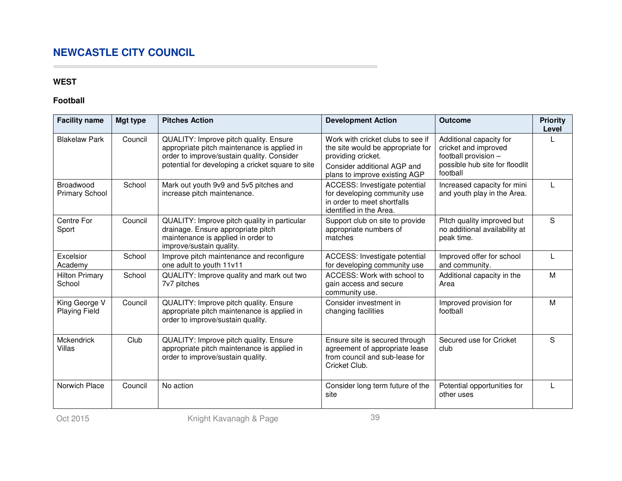## **WEST**

 $\sim$ 

## **Football**

| <b>Facility name</b>                  | Mgt type | <b>Pitches Action</b>                                                                                                                                                                    | <b>Development Action</b>                                                                                                                                    | <b>Outcome</b>                                                                                                        | <b>Priority</b><br>Level |
|---------------------------------------|----------|------------------------------------------------------------------------------------------------------------------------------------------------------------------------------------------|--------------------------------------------------------------------------------------------------------------------------------------------------------------|-----------------------------------------------------------------------------------------------------------------------|--------------------------|
| <b>Blakelaw Park</b>                  | Council  | QUALITY: Improve pitch quality. Ensure<br>appropriate pitch maintenance is applied in<br>order to improve/sustain quality. Consider<br>potential for developing a cricket square to site | Work with cricket clubs to see if<br>the site would be appropriate for<br>providing cricket.<br>Consider additional AGP and<br>plans to improve existing AGP | Additional capacity for<br>cricket and improved<br>football provision -<br>possible hub site for floodlit<br>football |                          |
| Broadwood<br><b>Primary School</b>    | School   | Mark out youth 9v9 and 5v5 pitches and<br>increase pitch maintenance.                                                                                                                    | ACCESS: Investigate potential<br>for developing community use<br>in order to meet shortfalls<br>identified in the Area.                                      | Increased capacity for mini<br>and youth play in the Area.                                                            |                          |
| Centre For<br>Sport                   | Council  | QUALITY: Improve pitch quality in particular<br>drainage. Ensure appropriate pitch<br>maintenance is applied in order to<br>improve/sustain quality.                                     | Support club on site to provide<br>appropriate numbers of<br>matches                                                                                         | Pitch quality improved but<br>no additional availability at<br>peak time.                                             | S                        |
| Excelsior<br>Academy                  | School   | Improve pitch maintenance and reconfigure<br>one adult to youth 11v11                                                                                                                    | ACCESS: Investigate potential<br>for developing community use                                                                                                | Improved offer for school<br>and community.                                                                           |                          |
| <b>Hilton Primary</b><br>School       | School   | QUALITY: Improve quality and mark out two<br>7v7 pitches                                                                                                                                 | ACCESS: Work with school to<br>gain access and secure<br>community use.                                                                                      | Additional capacity in the<br>Area                                                                                    | M                        |
| King George V<br><b>Playing Field</b> | Council  | QUALITY: Improve pitch quality. Ensure<br>appropriate pitch maintenance is applied in<br>order to improve/sustain quality.                                                               | Consider investment in<br>changing facilities                                                                                                                | Improved provision for<br>football                                                                                    | M                        |
| Mckendrick<br>Villas                  | Club     | QUALITY: Improve pitch quality. Ensure<br>appropriate pitch maintenance is applied in<br>order to improve/sustain quality.                                                               | Ensure site is secured through<br>agreement of appropriate lease<br>from council and sub-lease for<br>Cricket Club.                                          | Secured use for Cricket<br>club                                                                                       | S                        |
| Norwich Place                         | Council  | No action                                                                                                                                                                                | Consider long term future of the<br>site                                                                                                                     | Potential opportunities for<br>other uses                                                                             |                          |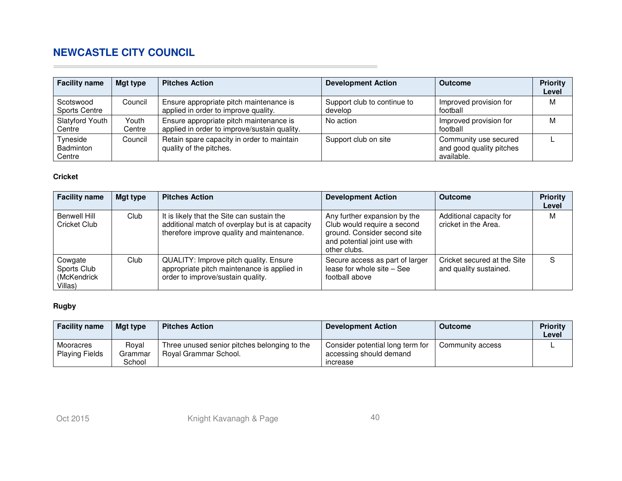| <b>Facility name</b>                   | Mgt type        | <b>Pitches Action</b>                                                                   | <b>Development Action</b>              | Outcome                                                         | <b>Priority</b><br>Level |
|----------------------------------------|-----------------|-----------------------------------------------------------------------------------------|----------------------------------------|-----------------------------------------------------------------|--------------------------|
| Scotswood<br><b>Sports Centre</b>      | Council         | Ensure appropriate pitch maintenance is<br>applied in order to improve quality.         | Support club to continue to<br>develop | Improved provision for<br>football                              | м                        |
| Slatyford Youth<br>Centre              | Youth<br>Centre | Ensure appropriate pitch maintenance is<br>applied in order to improve/sustain quality. | No action                              | Improved provision for<br>football                              | м                        |
| Tyneside<br><b>Badminton</b><br>Centre | Council         | Retain spare capacity in order to maintain<br>quality of the pitches.                   | Support club on site                   | Community use secured<br>and good quality pitches<br>available. |                          |

## **Cricket**

 $\sim$ 

| <b>Facility name</b>                             | Mgt type | <b>Pitches Action</b>                                                                                                                       | <b>Development Action</b>                                                                                                                   | <b>Outcome</b>                                        | <b>Priority</b><br>Level |
|--------------------------------------------------|----------|---------------------------------------------------------------------------------------------------------------------------------------------|---------------------------------------------------------------------------------------------------------------------------------------------|-------------------------------------------------------|--------------------------|
| <b>Benwell Hill</b><br>Cricket Club              | Club.    | It is likely that the Site can sustain the<br>additional match of overplay but is at capacity<br>therefore improve quality and maintenance. | Any further expansion by the<br>Club would require a second<br>ground. Consider second site<br>and potential joint use with<br>other clubs. | Additional capacity for<br>cricket in the Area.       | M                        |
| Cowgate<br>Sports Club<br>(McKendrick<br>Villas) | Club     | QUALITY: Improve pitch quality. Ensure<br>appropriate pitch maintenance is applied in<br>order to improve/sustain quality.                  | Secure access as part of larger<br>lease for whole site - See<br>football above                                                             | Cricket secured at the Site<br>and quality sustained. | S                        |

## **Rugby**

| <b>Facility name</b>               | Mgt type                   | <b>Pitches Action</b>                                                 | Development Action                                                      | <b>Outcome</b>   | <b>Priority</b><br>Level |
|------------------------------------|----------------------------|-----------------------------------------------------------------------|-------------------------------------------------------------------------|------------------|--------------------------|
| Mooracres<br><b>Playing Fields</b> | Roval<br>Grammar<br>School | Three unused senior pitches belonging to the<br>Royal Grammar School. | Consider potential long term for<br>accessing should demand<br>increase | Community access |                          |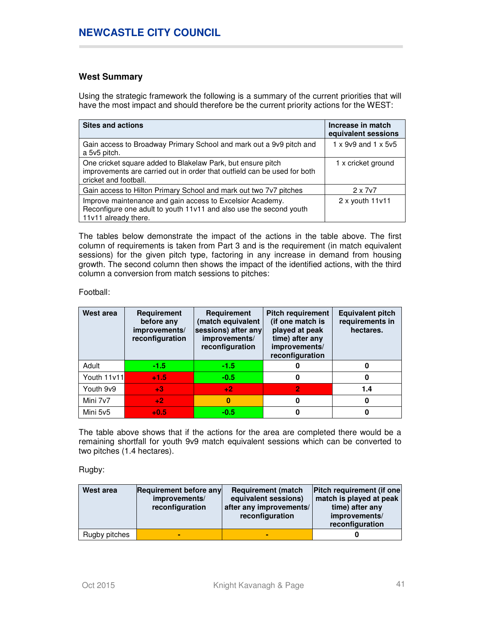## **West Summary**

Using the strategic framework the following is a summary of the current priorities that will have the most impact and should therefore be the current priority actions for the WEST:

| <b>Sites and actions</b>                                                                                                                                         | Increase in match<br>equivalent sessions |
|------------------------------------------------------------------------------------------------------------------------------------------------------------------|------------------------------------------|
| Gain access to Broadway Primary School and mark out a 9v9 pitch and<br>a 5v5 pitch.                                                                              | $1 \times 9$ v9 and $1 \times 5$ v5      |
| One cricket square added to Blakelaw Park, but ensure pitch<br>improvements are carried out in order that outfield can be used for both<br>cricket and football. | 1 x cricket ground                       |
| Gain access to Hilton Primary School and mark out two 7v7 pitches                                                                                                | $2 \times 707$                           |
| Improve maintenance and gain access to Excelsior Academy.<br>Reconfigure one adult to youth 11v11 and also use the second youth<br>11v11 already there.          | $2x$ youth $11v11$                       |

The tables below demonstrate the impact of the actions in the table above. The first column of requirements is taken from Part 3 and is the requirement (in match equivalent sessions) for the given pitch type, factoring in any increase in demand from housing growth. The second column then shows the impact of the identified actions, with the third column a conversion from match sessions to pitches:

Football:

| West area   | Requirement<br>before any<br>improvements/<br>reconfiguration | Requirement<br>(match equivalent<br>sessions) after any<br>improvements/<br>reconfiguration | <b>Pitch requirement</b><br>(if one match is<br>played at peak<br>time) after any<br>improvements/<br>reconfiguration | <b>Equivalent pitch</b><br>requirements in<br>hectares. |
|-------------|---------------------------------------------------------------|---------------------------------------------------------------------------------------------|-----------------------------------------------------------------------------------------------------------------------|---------------------------------------------------------|
| Adult       | $-1.5$                                                        | $-1.5$                                                                                      | 0                                                                                                                     | O                                                       |
| Youth 11v11 | $+1.5$                                                        | $-0.5$                                                                                      | 0                                                                                                                     | 0                                                       |
| Youth 9v9   | $+3$                                                          | $+2$                                                                                        | 2                                                                                                                     | 1.4                                                     |
| Mini 7v7    | $+2$                                                          | $\bf{0}$                                                                                    | 0                                                                                                                     | 0                                                       |
| Mini 5v5    | $+0.5$                                                        | $-0.5$                                                                                      | 0                                                                                                                     |                                                         |

The table above shows that if the actions for the area are completed there would be a remaining shortfall for youth 9v9 match equivalent sessions which can be converted to two pitches (1.4 hectares).

Rugby:

| West area     | <b>Requirement before any</b><br>improvements/<br>reconfiguration | <b>Requirement (match)</b><br>equivalent sessions)<br>after any improvements/<br>reconfiguration | <b>Pitch requirement (if one)</b><br>match is played at peak<br>time) after any<br>improvements/<br>reconfiguration |
|---------------|-------------------------------------------------------------------|--------------------------------------------------------------------------------------------------|---------------------------------------------------------------------------------------------------------------------|
| Rugby pitches |                                                                   |                                                                                                  |                                                                                                                     |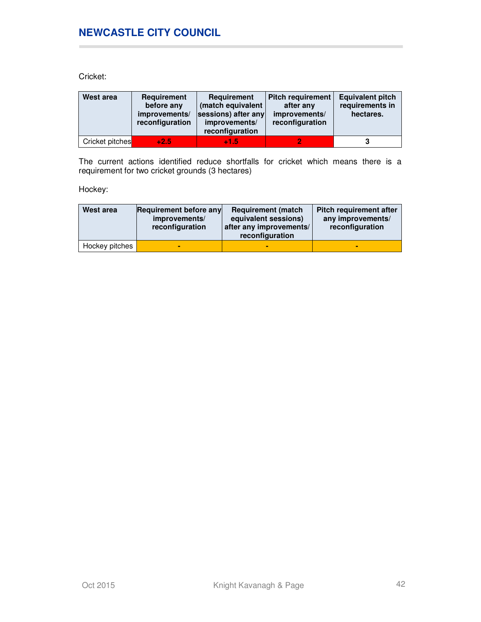Cricket:

| West area       | Requirement<br>before any<br>improvements/<br>reconfiguration | Requirement<br>(match equivalent<br>sessions) after any<br>improvements/<br>reconfiguration | <b>Pitch requirement</b><br>after any<br>improvements/<br>reconfiguration | <b>Equivalent pitch</b><br>requirements in<br>hectares. |
|-----------------|---------------------------------------------------------------|---------------------------------------------------------------------------------------------|---------------------------------------------------------------------------|---------------------------------------------------------|
| Cricket pitches | $+2.5$                                                        | $+1.5$                                                                                      |                                                                           |                                                         |

The current actions identified reduce shortfalls for cricket which means there is a requirement for two cricket grounds (3 hectares)

Hockey:

| West area      | Requirement before any<br>improvements/<br>reconfiguration | <b>Requirement (match)</b><br>equivalent sessions)<br>after any improvements/<br>reconfiguration | Pitch requirement after<br>any improvements/<br>reconfiguration |
|----------------|------------------------------------------------------------|--------------------------------------------------------------------------------------------------|-----------------------------------------------------------------|
| Hockey pitches | -                                                          |                                                                                                  |                                                                 |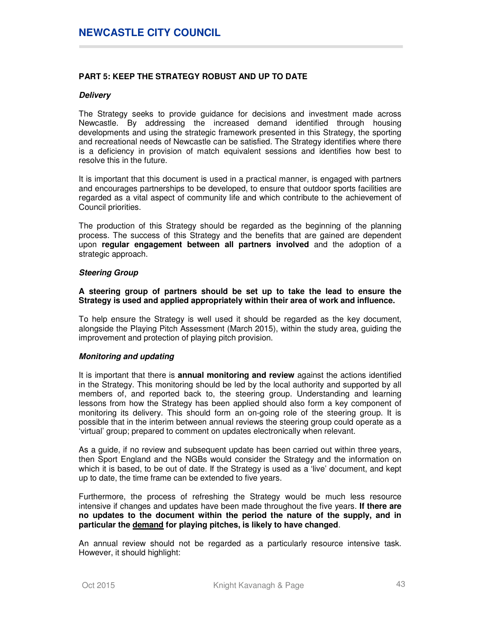## **PART 5: KEEP THE STRATEGY ROBUST AND UP TO DATE**

#### **Delivery**

The Strategy seeks to provide guidance for decisions and investment made across Newcastle. By addressing the increased demand identified through housing developments and using the strategic framework presented in this Strategy, the sporting and recreational needs of Newcastle can be satisfied. The Strategy identifies where there is a deficiency in provision of match equivalent sessions and identifies how best to resolve this in the future.

It is important that this document is used in a practical manner, is engaged with partners and encourages partnerships to be developed, to ensure that outdoor sports facilities are regarded as a vital aspect of community life and which contribute to the achievement of Council priorities.

The production of this Strategy should be regarded as the beginning of the planning process. The success of this Strategy and the benefits that are gained are dependent upon **regular engagement between all partners involved** and the adoption of a strategic approach.

#### **Steering Group**

**A steering group of partners should be set up to take the lead to ensure the Strategy is used and applied appropriately within their area of work and influence.** 

To help ensure the Strategy is well used it should be regarded as the key document, alongside the Playing Pitch Assessment (March 2015), within the study area, guiding the improvement and protection of playing pitch provision.

#### **Monitoring and updating**

It is important that there is **annual monitoring and review** against the actions identified in the Strategy. This monitoring should be led by the local authority and supported by all members of, and reported back to, the steering group. Understanding and learning lessons from how the Strategy has been applied should also form a key component of monitoring its delivery. This should form an on-going role of the steering group. It is possible that in the interim between annual reviews the steering group could operate as a 'virtual' group; prepared to comment on updates electronically when relevant.

As a guide, if no review and subsequent update has been carried out within three years, then Sport England and the NGBs would consider the Strategy and the information on which it is based, to be out of date. If the Strategy is used as a 'live' document, and kept up to date, the time frame can be extended to five years.

Furthermore, the process of refreshing the Strategy would be much less resource intensive if changes and updates have been made throughout the five years. **If there are no updates to the document within the period the nature of the supply, and in particular the demand for playing pitches, is likely to have changed**.

An annual review should not be regarded as a particularly resource intensive task. However, it should highlight: